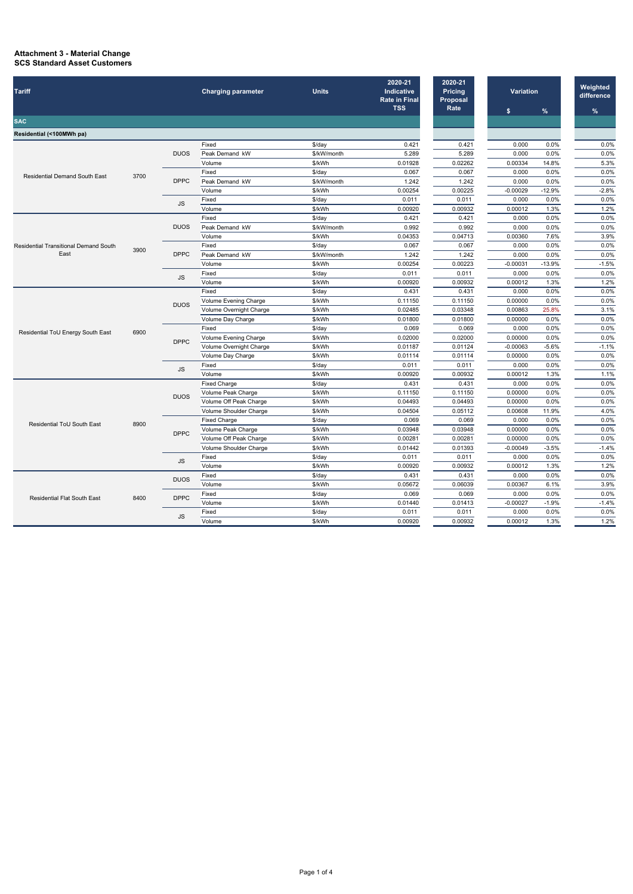## **Attachment 3 - Material Change SCS Standard Asset Customers**

| <b>Tariff</b>                                                                                                                                                                                                                                                                                                                                                                                                                                                                                                                                                                                                                                                                                                                                                                                                                                                                                                                                                                                                                                                                                                                                                                 |         |                            | <b>Charging parameter</b> | <b>Units</b>       | 2020-21<br><b>Indicative</b><br><b>Rate in Final</b><br><b>TSS</b> | 2020-21<br><b>Pricing</b><br>Proposal<br>Rate | <b>Variation</b> |              | Weighted<br>difference |
|-------------------------------------------------------------------------------------------------------------------------------------------------------------------------------------------------------------------------------------------------------------------------------------------------------------------------------------------------------------------------------------------------------------------------------------------------------------------------------------------------------------------------------------------------------------------------------------------------------------------------------------------------------------------------------------------------------------------------------------------------------------------------------------------------------------------------------------------------------------------------------------------------------------------------------------------------------------------------------------------------------------------------------------------------------------------------------------------------------------------------------------------------------------------------------|---------|----------------------------|---------------------------|--------------------|--------------------------------------------------------------------|-----------------------------------------------|------------------|--------------|------------------------|
| <b>SAC</b>                                                                                                                                                                                                                                                                                                                                                                                                                                                                                                                                                                                                                                                                                                                                                                                                                                                                                                                                                                                                                                                                                                                                                                    |         |                            |                           |                    |                                                                    |                                               | \$               | $\%$         | %                      |
|                                                                                                                                                                                                                                                                                                                                                                                                                                                                                                                                                                                                                                                                                                                                                                                                                                                                                                                                                                                                                                                                                                                                                                               |         |                            |                           |                    |                                                                    |                                               |                  |              |                        |
| Residential (<100MWh pa)                                                                                                                                                                                                                                                                                                                                                                                                                                                                                                                                                                                                                                                                                                                                                                                                                                                                                                                                                                                                                                                                                                                                                      |         |                            |                           |                    |                                                                    |                                               |                  |              |                        |
|                                                                                                                                                                                                                                                                                                                                                                                                                                                                                                                                                                                                                                                                                                                                                                                                                                                                                                                                                                                                                                                                                                                                                                               |         |                            | Fixed                     | \$/day             | 0.421                                                              | 0.421                                         | 0.000            | 0.0%         | 0.0%                   |
|                                                                                                                                                                                                                                                                                                                                                                                                                                                                                                                                                                                                                                                                                                                                                                                                                                                                                                                                                                                                                                                                                                                                                                               |         | <b>DUOS</b>                | Peak Demand kW            | \$/kW/month        | 5.289                                                              | 5.289                                         | 0.000            | 0.0%         | 0.0%                   |
|                                                                                                                                                                                                                                                                                                                                                                                                                                                                                                                                                                                                                                                                                                                                                                                                                                                                                                                                                                                                                                                                                                                                                                               |         |                            | Volume                    | \$/kWh             | 0.01928                                                            | 0.02262                                       | 0.00334          | 14.8%        | 5.3%                   |
| <b>Residential Demand South East</b>                                                                                                                                                                                                                                                                                                                                                                                                                                                                                                                                                                                                                                                                                                                                                                                                                                                                                                                                                                                                                                                                                                                                          | 3700    |                            | Fixed                     | $$$ /day           | 0.067                                                              | 0.067                                         | 0.000            | 0.0%         | 0.0%                   |
|                                                                                                                                                                                                                                                                                                                                                                                                                                                                                                                                                                                                                                                                                                                                                                                                                                                                                                                                                                                                                                                                                                                                                                               |         | <b>DPPC</b>                | Peak Demand kW            | \$/kW/month        | 1.242                                                              | 1.242                                         | 0.000            | 0.0%         | 0.0%                   |
|                                                                                                                                                                                                                                                                                                                                                                                                                                                                                                                                                                                                                                                                                                                                                                                                                                                                                                                                                                                                                                                                                                                                                                               |         |                            | Volume<br>Fixed           | \$/kWh             | 0.00254                                                            | 0.00225                                       | $-0.00029$       | $-12.9%$     | $-2.8%$<br>0.0%        |
|                                                                                                                                                                                                                                                                                                                                                                                                                                                                                                                                                                                                                                                                                                                                                                                                                                                                                                                                                                                                                                                                                                                                                                               |         | JS                         | Volume                    | $$$ /day<br>\$/kWh | 0.011<br>0.00920                                                   | 0.011<br>0.00932                              | 0.000<br>0.00012 | 0.0%<br>1.3% | 1.2%                   |
|                                                                                                                                                                                                                                                                                                                                                                                                                                                                                                                                                                                                                                                                                                                                                                                                                                                                                                                                                                                                                                                                                                                                                                               |         |                            | Fixed                     | $$$ /day           | 0.421                                                              | 0.421                                         | 0.000            | 0.0%         | 0.0%                   |
|                                                                                                                                                                                                                                                                                                                                                                                                                                                                                                                                                                                                                                                                                                                                                                                                                                                                                                                                                                                                                                                                                                                                                                               |         | <b>DUOS</b>                | Peak Demand kW            | \$/kW/month        | 0.992                                                              | 0.992                                         | 0.000            | 0.0%         | 0.0%                   |
|                                                                                                                                                                                                                                                                                                                                                                                                                                                                                                                                                                                                                                                                                                                                                                                                                                                                                                                                                                                                                                                                                                                                                                               |         |                            |                           |                    |                                                                    | 0.04713                                       | 0.00360          | 7.6%         | 3.9%                   |
|                                                                                                                                                                                                                                                                                                                                                                                                                                                                                                                                                                                                                                                                                                                                                                                                                                                                                                                                                                                                                                                                                                                                                                               |         |                            |                           |                    |                                                                    | 0.067                                         | 0.000            | 0.0%         | 0.0%                   |
|                                                                                                                                                                                                                                                                                                                                                                                                                                                                                                                                                                                                                                                                                                                                                                                                                                                                                                                                                                                                                                                                                                                                                                               | 3900    |                            |                           |                    |                                                                    | 1.242                                         | 0.000            | 0.0%         | 0.0%                   |
|                                                                                                                                                                                                                                                                                                                                                                                                                                                                                                                                                                                                                                                                                                                                                                                                                                                                                                                                                                                                                                                                                                                                                                               |         |                            |                           |                    |                                                                    | 0.00223                                       | $-0.00031$       | $-13.9%$     | $-1.5%$                |
|                                                                                                                                                                                                                                                                                                                                                                                                                                                                                                                                                                                                                                                                                                                                                                                                                                                                                                                                                                                                                                                                                                                                                                               |         | <b>JS</b>                  |                           |                    |                                                                    | 0.011                                         | 0.000            | 0.0%         | 0.0%                   |
|                                                                                                                                                                                                                                                                                                                                                                                                                                                                                                                                                                                                                                                                                                                                                                                                                                                                                                                                                                                                                                                                                                                                                                               |         |                            |                           |                    |                                                                    | 0.00932                                       | 0.00012          | 1.3%         | 1.2%                   |
|                                                                                                                                                                                                                                                                                                                                                                                                                                                                                                                                                                                                                                                                                                                                                                                                                                                                                                                                                                                                                                                                                                                                                                               | 6900    |                            |                           |                    |                                                                    | 0.431                                         | 0.000            | 0.0%         | 0.0%                   |
|                                                                                                                                                                                                                                                                                                                                                                                                                                                                                                                                                                                                                                                                                                                                                                                                                                                                                                                                                                                                                                                                                                                                                                               |         |                            |                           |                    |                                                                    | 0.11150                                       | 0.00000          | 0.0%         | 0.0%                   |
|                                                                                                                                                                                                                                                                                                                                                                                                                                                                                                                                                                                                                                                                                                                                                                                                                                                                                                                                                                                                                                                                                                                                                                               |         | <b>DUOS</b>                |                           |                    |                                                                    | 0.03348                                       | 0.00863          | 25.8%        | 3.1%                   |
|                                                                                                                                                                                                                                                                                                                                                                                                                                                                                                                                                                                                                                                                                                                                                                                                                                                                                                                                                                                                                                                                                                                                                                               |         |                            |                           |                    |                                                                    | 0.01800                                       | 0.00000          | 0.0%         | 0.0%                   |
| Volume<br>\$/kWh<br>0.04353<br>0.067<br>Fixed<br>$$$ /day<br><b>Residential Transitional Demand South</b><br>East<br><b>DPPC</b><br>Peak Demand kW<br>\$/kW/month<br>1.242<br>Volume<br>\$/kWh<br>0.00254<br>Fixed<br>\$/day<br>0.011<br>\$/kWh<br>Volume<br>0.00920<br>0.431<br>Fixed<br>\$/day<br>Volume Evening Charge<br>\$/kWh<br>0.11150<br>Volume Overnight Charge<br>\$/kWh<br>0.02485<br>\$/kWh<br>Volume Day Charge<br>0.01800<br>0.069<br>Fixed<br>\$/day<br>Residential ToU Energy South East<br>Volume Evening Charge<br>\$/kWh<br>0.02000<br><b>DPPC</b><br>Volume Overnight Charge<br>\$/kWh<br>0.01187<br>Volume Day Charge<br>\$/kWh<br>0.01114<br>0.011<br>Fixed<br>\$/day<br>JS<br>\$/kWh<br>Volume<br>0.00920<br><b>Fixed Charge</b><br>\$/day<br>0.431<br>\$/kWh<br>Volume Peak Charge<br>0.11150<br><b>DUOS</b><br>Volume Off Peak Charge<br>\$/kWh<br>0.04493<br>0.04504<br>Volume Shoulder Charge<br>\$/kWh<br><b>Fixed Charge</b><br>0.069<br>$$$ /day<br>8900<br>Residential ToU South East<br>Volume Peak Charge<br>\$/kWh<br>0.03948<br><b>DPPC</b><br>Volume Off Peak Charge<br>\$/kWh<br>0.00281<br>Volume Shoulder Charge<br>\$/kWh<br>0.01442 |         |                            |                           |                    |                                                                    | 0.069                                         | 0.000            | 0.0%         | 0.0%                   |
|                                                                                                                                                                                                                                                                                                                                                                                                                                                                                                                                                                                                                                                                                                                                                                                                                                                                                                                                                                                                                                                                                                                                                                               |         |                            |                           |                    |                                                                    | 0.02000                                       | 0.00000          | 0.0%         | 0.0%                   |
|                                                                                                                                                                                                                                                                                                                                                                                                                                                                                                                                                                                                                                                                                                                                                                                                                                                                                                                                                                                                                                                                                                                                                                               |         |                            |                           |                    |                                                                    | 0.01124                                       | $-0.00063$       | $-5.6%$      | $-1.1%$                |
|                                                                                                                                                                                                                                                                                                                                                                                                                                                                                                                                                                                                                                                                                                                                                                                                                                                                                                                                                                                                                                                                                                                                                                               |         |                            |                           |                    |                                                                    | 0.01114                                       | 0.00000          | 0.0%         | 0.0%                   |
|                                                                                                                                                                                                                                                                                                                                                                                                                                                                                                                                                                                                                                                                                                                                                                                                                                                                                                                                                                                                                                                                                                                                                                               |         |                            |                           |                    |                                                                    | 0.011                                         | 0.000            | 0.0%         | 0.0%                   |
|                                                                                                                                                                                                                                                                                                                                                                                                                                                                                                                                                                                                                                                                                                                                                                                                                                                                                                                                                                                                                                                                                                                                                                               | 0.00932 | 0.00012                    | 1.3%                      | 1.1%               |                                                                    |                                               |                  |              |                        |
|                                                                                                                                                                                                                                                                                                                                                                                                                                                                                                                                                                                                                                                                                                                                                                                                                                                                                                                                                                                                                                                                                                                                                                               |         |                            |                           |                    |                                                                    | 0.431                                         | 0.000            | 0.0%         | 0.0%                   |
|                                                                                                                                                                                                                                                                                                                                                                                                                                                                                                                                                                                                                                                                                                                                                                                                                                                                                                                                                                                                                                                                                                                                                                               |         |                            |                           |                    |                                                                    | 0.11150                                       | 0.00000          | 0.0%         | 0.0%                   |
|                                                                                                                                                                                                                                                                                                                                                                                                                                                                                                                                                                                                                                                                                                                                                                                                                                                                                                                                                                                                                                                                                                                                                                               |         |                            |                           |                    |                                                                    | 0.04493                                       | 0.00000          | 0.0%         | 0.0%                   |
|                                                                                                                                                                                                                                                                                                                                                                                                                                                                                                                                                                                                                                                                                                                                                                                                                                                                                                                                                                                                                                                                                                                                                                               |         |                            |                           |                    |                                                                    | 0.05112                                       | 0.00608          | 11.9%        | 4.0%                   |
|                                                                                                                                                                                                                                                                                                                                                                                                                                                                                                                                                                                                                                                                                                                                                                                                                                                                                                                                                                                                                                                                                                                                                                               |         |                            |                           |                    |                                                                    | 0.069                                         | 0.000            | 0.0%         | 0.0%                   |
|                                                                                                                                                                                                                                                                                                                                                                                                                                                                                                                                                                                                                                                                                                                                                                                                                                                                                                                                                                                                                                                                                                                                                                               |         |                            |                           |                    |                                                                    | 0.03948                                       | 0.00000          | 0.0%         | 0.0%                   |
|                                                                                                                                                                                                                                                                                                                                                                                                                                                                                                                                                                                                                                                                                                                                                                                                                                                                                                                                                                                                                                                                                                                                                                               |         |                            |                           |                    |                                                                    | 0.00281                                       | 0.00000          | 0.0%         | 0.0%                   |
|                                                                                                                                                                                                                                                                                                                                                                                                                                                                                                                                                                                                                                                                                                                                                                                                                                                                                                                                                                                                                                                                                                                                                                               |         |                            |                           |                    |                                                                    | 0.01393                                       | $-0.00049$       | $-3.5%$      | $-1.4%$                |
|                                                                                                                                                                                                                                                                                                                                                                                                                                                                                                                                                                                                                                                                                                                                                                                                                                                                                                                                                                                                                                                                                                                                                                               |         |                            | Fixed                     | \$/day             | 0.011                                                              | 0.011                                         | 0.000            | 0.0%         | 0.0%                   |
|                                                                                                                                                                                                                                                                                                                                                                                                                                                                                                                                                                                                                                                                                                                                                                                                                                                                                                                                                                                                                                                                                                                                                                               |         | <b>JS</b>                  | Volume                    | \$/kWh             | 0.00920                                                            | 0.00932                                       | 0.00012          | 1.3%         | 1.2%                   |
|                                                                                                                                                                                                                                                                                                                                                                                                                                                                                                                                                                                                                                                                                                                                                                                                                                                                                                                                                                                                                                                                                                                                                                               | 8400    | <b>DUOS</b><br><b>DPPC</b> | Fixed                     | \$/day             | 0.431                                                              | 0.431                                         | 0.000            | 0.0%         | 0.0%                   |
|                                                                                                                                                                                                                                                                                                                                                                                                                                                                                                                                                                                                                                                                                                                                                                                                                                                                                                                                                                                                                                                                                                                                                                               |         |                            | Volume                    | \$/kWh             | 0.05672                                                            | 0.06039                                       | 0.00367          | 6.1%         | 3.9%                   |
|                                                                                                                                                                                                                                                                                                                                                                                                                                                                                                                                                                                                                                                                                                                                                                                                                                                                                                                                                                                                                                                                                                                                                                               |         |                            | Fixed                     | \$/day             | 0.069                                                              | 0.069                                         | 0.000            | 0.0%         | 0.0%                   |
| <b>Residential Flat South East</b>                                                                                                                                                                                                                                                                                                                                                                                                                                                                                                                                                                                                                                                                                                                                                                                                                                                                                                                                                                                                                                                                                                                                            |         |                            | Volume                    | \$/kWh             | 0.01440                                                            | 0.01413                                       | $-0.00027$       | $-1.9%$      | $-1.4%$                |
|                                                                                                                                                                                                                                                                                                                                                                                                                                                                                                                                                                                                                                                                                                                                                                                                                                                                                                                                                                                                                                                                                                                                                                               |         |                            | Fixed                     | \$/day             | 0.011                                                              | 0.011                                         | 0.000            | 0.0%         | 0.0%                   |
|                                                                                                                                                                                                                                                                                                                                                                                                                                                                                                                                                                                                                                                                                                                                                                                                                                                                                                                                                                                                                                                                                                                                                                               |         | <b>JS</b>                  | Volume                    | \$/kWh             | 0.00920                                                            | 0.00932                                       | 0.00012          | 1.3%         | 1.2%                   |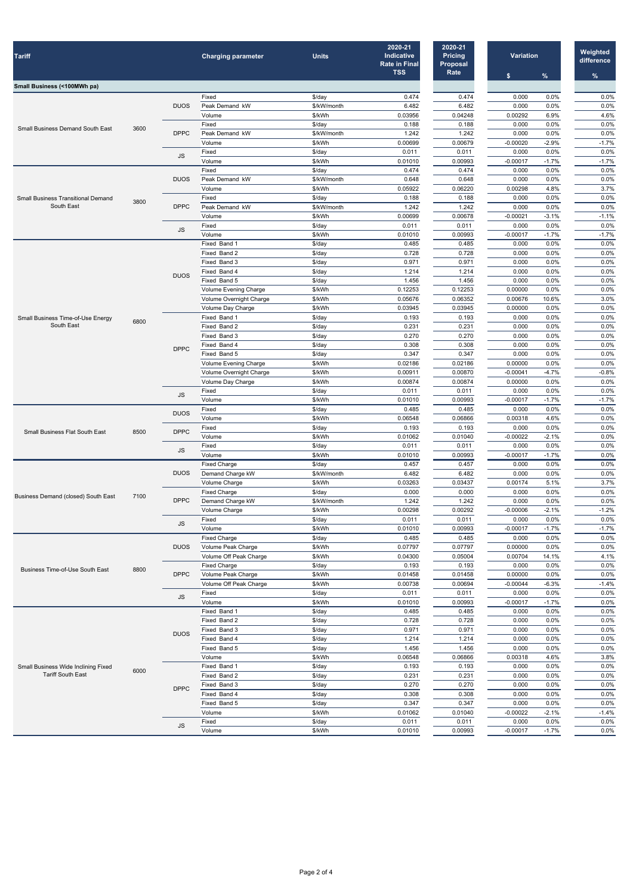| <b>Tariff</b>                                                                                                                                                                                                                                                                                                                                                                                                                                                                                                                                                                                                                                                                                                                                                                                                                                                                                                                                                                                                                                                                                                                                                                                                                                                                                                                                                                                                                                                                                                                                                                                                                                                                                                                                                                                                                                                                                                                                                                                                                                                                                                                                                                                                                                                                                                                                                                                                                                                                                                                                                                                                                                                                                                                                                                                                                                                                                                                                                                                                                                                                                                                                                                                                                                                                                                                                                                                                                                                                                                                                                                                                                                                                                                                                                                                                                                                     |      |             | <b>Charging parameter</b> | <b>Units</b>                                                                                                                                                                                                                                                                                                                                                                                                                                                                                                                                                                                                                                                                                                                                                                                                                                                                                                                                                                                                                | 2020-21<br>Indicative<br><b>Rate in Final</b><br><b>TSS</b> | 2020-21<br><b>Pricing</b><br><b>Proposal</b><br>Rate | <b>Variation</b><br>$\%$<br>$\boldsymbol{\mathsf{s}}$ | Weighted<br>difference<br>$\%$                                                                                                                                                                                                                                                                                                                                                                                                                                                                                                                                                             |
|-------------------------------------------------------------------------------------------------------------------------------------------------------------------------------------------------------------------------------------------------------------------------------------------------------------------------------------------------------------------------------------------------------------------------------------------------------------------------------------------------------------------------------------------------------------------------------------------------------------------------------------------------------------------------------------------------------------------------------------------------------------------------------------------------------------------------------------------------------------------------------------------------------------------------------------------------------------------------------------------------------------------------------------------------------------------------------------------------------------------------------------------------------------------------------------------------------------------------------------------------------------------------------------------------------------------------------------------------------------------------------------------------------------------------------------------------------------------------------------------------------------------------------------------------------------------------------------------------------------------------------------------------------------------------------------------------------------------------------------------------------------------------------------------------------------------------------------------------------------------------------------------------------------------------------------------------------------------------------------------------------------------------------------------------------------------------------------------------------------------------------------------------------------------------------------------------------------------------------------------------------------------------------------------------------------------------------------------------------------------------------------------------------------------------------------------------------------------------------------------------------------------------------------------------------------------------------------------------------------------------------------------------------------------------------------------------------------------------------------------------------------------------------------------------------------------------------------------------------------------------------------------------------------------------------------------------------------------------------------------------------------------------------------------------------------------------------------------------------------------------------------------------------------------------------------------------------------------------------------------------------------------------------------------------------------------------------------------------------------------------------------------------------------------------------------------------------------------------------------------------------------------------------------------------------------------------------------------------------------------------------------------------------------------------------------------------------------------------------------------------------------------------------------------------------------------------------------------------------------------|------|-------------|---------------------------|-----------------------------------------------------------------------------------------------------------------------------------------------------------------------------------------------------------------------------------------------------------------------------------------------------------------------------------------------------------------------------------------------------------------------------------------------------------------------------------------------------------------------------------------------------------------------------------------------------------------------------------------------------------------------------------------------------------------------------------------------------------------------------------------------------------------------------------------------------------------------------------------------------------------------------------------------------------------------------------------------------------------------------|-------------------------------------------------------------|------------------------------------------------------|-------------------------------------------------------|--------------------------------------------------------------------------------------------------------------------------------------------------------------------------------------------------------------------------------------------------------------------------------------------------------------------------------------------------------------------------------------------------------------------------------------------------------------------------------------------------------------------------------------------------------------------------------------------|
| Small Business (<100MWh pa)                                                                                                                                                                                                                                                                                                                                                                                                                                                                                                                                                                                                                                                                                                                                                                                                                                                                                                                                                                                                                                                                                                                                                                                                                                                                                                                                                                                                                                                                                                                                                                                                                                                                                                                                                                                                                                                                                                                                                                                                                                                                                                                                                                                                                                                                                                                                                                                                                                                                                                                                                                                                                                                                                                                                                                                                                                                                                                                                                                                                                                                                                                                                                                                                                                                                                                                                                                                                                                                                                                                                                                                                                                                                                                                                                                                                                                       |      |             |                           |                                                                                                                                                                                                                                                                                                                                                                                                                                                                                                                                                                                                                                                                                                                                                                                                                                                                                                                                                                                                                             |                                                             |                                                      |                                                       |                                                                                                                                                                                                                                                                                                                                                                                                                                                                                                                                                                                            |
|                                                                                                                                                                                                                                                                                                                                                                                                                                                                                                                                                                                                                                                                                                                                                                                                                                                                                                                                                                                                                                                                                                                                                                                                                                                                                                                                                                                                                                                                                                                                                                                                                                                                                                                                                                                                                                                                                                                                                                                                                                                                                                                                                                                                                                                                                                                                                                                                                                                                                                                                                                                                                                                                                                                                                                                                                                                                                                                                                                                                                                                                                                                                                                                                                                                                                                                                                                                                                                                                                                                                                                                                                                                                                                                                                                                                                                                                   |      |             | Fixed                     | $$$ /day                                                                                                                                                                                                                                                                                                                                                                                                                                                                                                                                                                                                                                                                                                                                                                                                                                                                                                                                                                                                                    | 0.474                                                       | 0.474                                                | 0.000<br>0.0%                                         | 0.0%                                                                                                                                                                                                                                                                                                                                                                                                                                                                                                                                                                                       |
|                                                                                                                                                                                                                                                                                                                                                                                                                                                                                                                                                                                                                                                                                                                                                                                                                                                                                                                                                                                                                                                                                                                                                                                                                                                                                                                                                                                                                                                                                                                                                                                                                                                                                                                                                                                                                                                                                                                                                                                                                                                                                                                                                                                                                                                                                                                                                                                                                                                                                                                                                                                                                                                                                                                                                                                                                                                                                                                                                                                                                                                                                                                                                                                                                                                                                                                                                                                                                                                                                                                                                                                                                                                                                                                                                                                                                                                                   |      | <b>DUOS</b> | Peak Demand kW            | \$/kW/month                                                                                                                                                                                                                                                                                                                                                                                                                                                                                                                                                                                                                                                                                                                                                                                                                                                                                                                                                                                                                 | 6.482                                                       | 6.482                                                | 0.000<br>0.0%                                         | 0.0%                                                                                                                                                                                                                                                                                                                                                                                                                                                                                                                                                                                       |
|                                                                                                                                                                                                                                                                                                                                                                                                                                                                                                                                                                                                                                                                                                                                                                                                                                                                                                                                                                                                                                                                                                                                                                                                                                                                                                                                                                                                                                                                                                                                                                                                                                                                                                                                                                                                                                                                                                                                                                                                                                                                                                                                                                                                                                                                                                                                                                                                                                                                                                                                                                                                                                                                                                                                                                                                                                                                                                                                                                                                                                                                                                                                                                                                                                                                                                                                                                                                                                                                                                                                                                                                                                                                                                                                                                                                                                                                   |      |             | Volume                    |                                                                                                                                                                                                                                                                                                                                                                                                                                                                                                                                                                                                                                                                                                                                                                                                                                                                                                                                                                                                                             |                                                             |                                                      |                                                       |                                                                                                                                                                                                                                                                                                                                                                                                                                                                                                                                                                                            |
| <b>Small Business Demand South East</b>                                                                                                                                                                                                                                                                                                                                                                                                                                                                                                                                                                                                                                                                                                                                                                                                                                                                                                                                                                                                                                                                                                                                                                                                                                                                                                                                                                                                                                                                                                                                                                                                                                                                                                                                                                                                                                                                                                                                                                                                                                                                                                                                                                                                                                                                                                                                                                                                                                                                                                                                                                                                                                                                                                                                                                                                                                                                                                                                                                                                                                                                                                                                                                                                                                                                                                                                                                                                                                                                                                                                                                                                                                                                                                                                                                                                                           | 3600 |             |                           |                                                                                                                                                                                                                                                                                                                                                                                                                                                                                                                                                                                                                                                                                                                                                                                                                                                                                                                                                                                                                             |                                                             |                                                      |                                                       |                                                                                                                                                                                                                                                                                                                                                                                                                                                                                                                                                                                            |
|                                                                                                                                                                                                                                                                                                                                                                                                                                                                                                                                                                                                                                                                                                                                                                                                                                                                                                                                                                                                                                                                                                                                                                                                                                                                                                                                                                                                                                                                                                                                                                                                                                                                                                                                                                                                                                                                                                                                                                                                                                                                                                                                                                                                                                                                                                                                                                                                                                                                                                                                                                                                                                                                                                                                                                                                                                                                                                                                                                                                                                                                                                                                                                                                                                                                                                                                                                                                                                                                                                                                                                                                                                                                                                                                                                                                                                                                   |      |             |                           |                                                                                                                                                                                                                                                                                                                                                                                                                                                                                                                                                                                                                                                                                                                                                                                                                                                                                                                                                                                                                             |                                                             |                                                      |                                                       |                                                                                                                                                                                                                                                                                                                                                                                                                                                                                                                                                                                            |
| \$/kWh<br>0.03956<br>0.04248<br>0.188<br>0.188<br>Fixed<br>$$$ /day<br><b>DPPC</b><br>Peak Demand kW<br>\$/kW/month<br>1.242<br>1.242<br>Volume<br>\$/kWh<br>0.00699<br>0.00679<br>Fixed<br>0.011<br>$$$ /day<br>0.011<br>JS<br>\$/kWh<br>Volume<br>0.01010<br>0.00993<br>$$$ /day<br>0.474<br>0.474<br>Fixed<br><b>DUOS</b><br>Peak Demand kW<br>\$/kW/month<br>0.648<br>0.648<br>\$/kWh<br>0.05922<br>0.06220<br>Volume<br>Fixed<br>$$$ /day<br>0.188<br>0.188<br><b>Small Business Transitional Demand</b><br>3800<br>South East<br><b>DPPC</b><br>Peak Demand kW<br>\$/kW/month<br>1.242<br>1.242<br>Volume<br>\$/kWh<br>0.00699<br>0.00678<br>Fixed<br>0.011<br>0.011<br>$$$ /day<br>JS<br>Volume<br>0.00993<br>\$/kWh<br>0.01010<br>0.485<br>Fixed Band 1<br>\$/day<br>0.485<br>0.728<br>Fixed Band 2<br>\$/day<br>0.728<br>0.971<br>Fixed Band 3<br>\$/day<br>0.971<br>1.214<br>Fixed Band 4<br>\$/day<br>1.214<br><b>DUOS</b><br>Fixed Band 5<br>1.456<br>\$/day<br>1.456<br>\$/kWh<br>0.12253<br>0.12253<br>Volume Evening Charge<br>Volume Overnight Charge<br>\$/kWh<br>0.05676<br>0.06352<br>\$/kWh<br>0.03945<br>Volume Day Charge<br>0.03945<br>0.193<br>Fixed Band 1<br>$$$ /day<br>0.193<br>Small Business Time-of-Use Energy<br>6800<br>South East<br>0.231<br>Fixed Band 2<br>$$$ /day<br>0.231<br>0.270<br>0.270<br>Fixed Band 3<br>\$/day<br>0.308<br>0.308<br>Fixed Band 4<br>\$/day<br><b>DPPC</b><br>0.347<br>0.347<br>Fixed Band 5<br>\$/day<br>\$/kWh<br>0.02186<br>0.02186<br>Volume Evening Charge<br>0.00911<br><b>Volume Overnight Charge</b><br>\$/kWh<br>0.00870<br>0.00874<br>0.00874<br>Volume Day Charge<br>\$/kWh<br>Fixed<br>\$/day<br>0.011<br>0.011<br><b>JS</b><br>\$/kWh<br>0.01010<br>0.00993<br>Volume<br>Fixed<br>$$$ /day<br>0.485<br>0.485<br><b>DUOS</b><br>Volume<br>\$/kWh<br>0.06548<br>0.06866<br>$$$ /day<br>0.193<br>0.193<br>Fixed<br><b>DPPC</b><br><b>Small Business Flat South East</b><br>8500<br>Volume<br>\$/kWh<br>0.01062<br>0.01040<br>Fixed<br>0.011<br>\$/day<br>0.011<br>JS<br>Volume<br>\$/kWh<br>0.00993<br>0.01010<br><b>Fixed Charge</b><br>0.457<br>\$/day<br>0.457<br><b>DUOS</b><br>Demand Charge kW<br>\$/kW/month<br>6.482<br>6.482<br>\$/kWh<br>0.03263<br>Volume Charge<br>0.03437<br><b>Fixed Charge</b><br>$$$ /day<br>0.000<br>0.000<br>Business Demand (closed) South East<br>7100<br><b>DPPC</b><br>Demand Charge kW<br>1.242<br>\$/kW/month<br>1.242<br>\$/kWh<br>0.00298<br>0.00292<br>Volume Charge<br>$$$ /day<br>0.011<br>Fixed<br>0.011<br>JS<br>\$/kWh<br>0.00993<br>0.01010<br>Volume<br>$$$ /day<br>0.485<br>0.485<br><b>Fixed Charge</b><br><b>DUOS</b><br>\$/kWh<br>0.07797<br>0.07797<br>Volume Peak Charge<br>Volume Off Peak Charge<br>\$/kWh<br>0.04300<br>0.05004<br><b>Fixed Charge</b><br>0.193<br>0.193<br>\$/day<br><b>Business Time-of-Use South East</b><br>8800<br><b>DPPC</b><br>Volume Peak Charge<br>\$/kWh<br>0.01458<br>0.01458<br>Volume Off Peak Charge<br>\$/kWh<br>0.00738<br>0.00694<br>Fixed<br>$$$ /day<br>0.011<br>0.011<br><b>JS</b><br>Volume<br>\$/kWh<br>0.01010<br>0.00993<br>0.485<br>Fixed Band 1<br>$$$ /day<br>0.485<br>0.728<br>Fixed Band 2<br>$$$ /day<br>0.728<br>0.971<br>Fixed Band 3<br>0.971<br>$$$ /day<br><b>DUOS</b><br>Fixed Band 4<br>1.214<br>$$$ /day<br>1.214<br>Fixed Band 5<br>1.456<br>1.456<br>$$$ /day<br>Volume<br>\$/kWh<br>0.06548<br>0.06866<br>Fixed Band 1<br>0.193<br>\$/day<br>0.193<br>Small Business Wide Inclining Fixed<br>6000<br><b>Tariff South East</b><br>Fixed Band 2<br>0.231<br>\$/day<br>0.231<br>Fixed Band 3<br>0.270<br>0.270<br>\$/day<br><b>DPPC</b><br>Fixed Band 4<br>0.308<br>0.308<br>\$/day<br>0.347<br>Fixed Band 5<br>\$/day<br>0.347<br>0.01062<br>\$/kWh<br>0.01040<br>Volume<br>Fixed<br>$$$ /day<br>0.011<br>0.011<br><b>JS</b><br>Volume<br>\$/kWh<br>0.00993<br>0.01010 |      |             |                           |                                                                                                                                                                                                                                                                                                                                                                                                                                                                                                                                                                                                                                                                                                                                                                                                                                                                                                                                                                                                                             |                                                             |                                                      |                                                       |                                                                                                                                                                                                                                                                                                                                                                                                                                                                                                                                                                                            |
|                                                                                                                                                                                                                                                                                                                                                                                                                                                                                                                                                                                                                                                                                                                                                                                                                                                                                                                                                                                                                                                                                                                                                                                                                                                                                                                                                                                                                                                                                                                                                                                                                                                                                                                                                                                                                                                                                                                                                                                                                                                                                                                                                                                                                                                                                                                                                                                                                                                                                                                                                                                                                                                                                                                                                                                                                                                                                                                                                                                                                                                                                                                                                                                                                                                                                                                                                                                                                                                                                                                                                                                                                                                                                                                                                                                                                                                                   |      |             |                           |                                                                                                                                                                                                                                                                                                                                                                                                                                                                                                                                                                                                                                                                                                                                                                                                                                                                                                                                                                                                                             |                                                             |                                                      | $-0.00017$<br>$-1.7%$                                 | 4.6%<br>0.0%<br>0.0%<br>$-1.7%$<br>0.0%<br>$-1.7%$<br>0.0%<br>0.0%<br>3.7%<br>0.0%<br>0.0%<br>$-1.1%$<br>0.0%<br>$-1.7%$<br>0.0%<br>0.0%<br>0.0%<br>0.0%<br>0.0%<br>0.0%<br>3.0%<br>0.0%<br>0.0%<br>0.0%<br>0.0%<br>0.0%<br>0.0%<br>0.0%<br>$-0.8%$<br>0.0%<br>0.0%<br>$-1.7%$<br>0.0%<br>0.0%<br>0.0%<br>0.0%<br>0.0%<br>0.0%<br>0.0%<br>0.0%<br>3.7%<br>0.0%<br>0.0%<br>$-1.2%$<br>0.0%<br>$-1.7%$<br>0.0%<br>0.0%<br>4.1%<br>0.0%<br>0.0%<br>$-1.4%$<br>0.0%<br>0.0%<br>0.0%<br>0.0%<br>0.0%<br>0.0%<br>0.0%<br>3.8%<br>0.0%<br>0.0%<br>0.0%<br>0.0%<br>0.0%<br>$-1.4%$<br>0.0%<br>0.0% |
|                                                                                                                                                                                                                                                                                                                                                                                                                                                                                                                                                                                                                                                                                                                                                                                                                                                                                                                                                                                                                                                                                                                                                                                                                                                                                                                                                                                                                                                                                                                                                                                                                                                                                                                                                                                                                                                                                                                                                                                                                                                                                                                                                                                                                                                                                                                                                                                                                                                                                                                                                                                                                                                                                                                                                                                                                                                                                                                                                                                                                                                                                                                                                                                                                                                                                                                                                                                                                                                                                                                                                                                                                                                                                                                                                                                                                                                                   |      |             |                           |                                                                                                                                                                                                                                                                                                                                                                                                                                                                                                                                                                                                                                                                                                                                                                                                                                                                                                                                                                                                                             |                                                             |                                                      | 0.000<br>0.0%                                         |                                                                                                                                                                                                                                                                                                                                                                                                                                                                                                                                                                                            |
|                                                                                                                                                                                                                                                                                                                                                                                                                                                                                                                                                                                                                                                                                                                                                                                                                                                                                                                                                                                                                                                                                                                                                                                                                                                                                                                                                                                                                                                                                                                                                                                                                                                                                                                                                                                                                                                                                                                                                                                                                                                                                                                                                                                                                                                                                                                                                                                                                                                                                                                                                                                                                                                                                                                                                                                                                                                                                                                                                                                                                                                                                                                                                                                                                                                                                                                                                                                                                                                                                                                                                                                                                                                                                                                                                                                                                                                                   |      |             |                           |                                                                                                                                                                                                                                                                                                                                                                                                                                                                                                                                                                                                                                                                                                                                                                                                                                                                                                                                                                                                                             |                                                             |                                                      | 0.000<br>0.0%                                         |                                                                                                                                                                                                                                                                                                                                                                                                                                                                                                                                                                                            |
|                                                                                                                                                                                                                                                                                                                                                                                                                                                                                                                                                                                                                                                                                                                                                                                                                                                                                                                                                                                                                                                                                                                                                                                                                                                                                                                                                                                                                                                                                                                                                                                                                                                                                                                                                                                                                                                                                                                                                                                                                                                                                                                                                                                                                                                                                                                                                                                                                                                                                                                                                                                                                                                                                                                                                                                                                                                                                                                                                                                                                                                                                                                                                                                                                                                                                                                                                                                                                                                                                                                                                                                                                                                                                                                                                                                                                                                                   |      |             |                           |                                                                                                                                                                                                                                                                                                                                                                                                                                                                                                                                                                                                                                                                                                                                                                                                                                                                                                                                                                                                                             |                                                             |                                                      | 0.00298<br>4.8%                                       |                                                                                                                                                                                                                                                                                                                                                                                                                                                                                                                                                                                            |
|                                                                                                                                                                                                                                                                                                                                                                                                                                                                                                                                                                                                                                                                                                                                                                                                                                                                                                                                                                                                                                                                                                                                                                                                                                                                                                                                                                                                                                                                                                                                                                                                                                                                                                                                                                                                                                                                                                                                                                                                                                                                                                                                                                                                                                                                                                                                                                                                                                                                                                                                                                                                                                                                                                                                                                                                                                                                                                                                                                                                                                                                                                                                                                                                                                                                                                                                                                                                                                                                                                                                                                                                                                                                                                                                                                                                                                                                   |      |             |                           |                                                                                                                                                                                                                                                                                                                                                                                                                                                                                                                                                                                                                                                                                                                                                                                                                                                                                                                                                                                                                             |                                                             |                                                      |                                                       |                                                                                                                                                                                                                                                                                                                                                                                                                                                                                                                                                                                            |
|                                                                                                                                                                                                                                                                                                                                                                                                                                                                                                                                                                                                                                                                                                                                                                                                                                                                                                                                                                                                                                                                                                                                                                                                                                                                                                                                                                                                                                                                                                                                                                                                                                                                                                                                                                                                                                                                                                                                                                                                                                                                                                                                                                                                                                                                                                                                                                                                                                                                                                                                                                                                                                                                                                                                                                                                                                                                                                                                                                                                                                                                                                                                                                                                                                                                                                                                                                                                                                                                                                                                                                                                                                                                                                                                                                                                                                                                   |      |             |                           |                                                                                                                                                                                                                                                                                                                                                                                                                                                                                                                                                                                                                                                                                                                                                                                                                                                                                                                                                                                                                             |                                                             |                                                      |                                                       |                                                                                                                                                                                                                                                                                                                                                                                                                                                                                                                                                                                            |
|                                                                                                                                                                                                                                                                                                                                                                                                                                                                                                                                                                                                                                                                                                                                                                                                                                                                                                                                                                                                                                                                                                                                                                                                                                                                                                                                                                                                                                                                                                                                                                                                                                                                                                                                                                                                                                                                                                                                                                                                                                                                                                                                                                                                                                                                                                                                                                                                                                                                                                                                                                                                                                                                                                                                                                                                                                                                                                                                                                                                                                                                                                                                                                                                                                                                                                                                                                                                                                                                                                                                                                                                                                                                                                                                                                                                                                                                   |      |             |                           |                                                                                                                                                                                                                                                                                                                                                                                                                                                                                                                                                                                                                                                                                                                                                                                                                                                                                                                                                                                                                             |                                                             |                                                      |                                                       |                                                                                                                                                                                                                                                                                                                                                                                                                                                                                                                                                                                            |
|                                                                                                                                                                                                                                                                                                                                                                                                                                                                                                                                                                                                                                                                                                                                                                                                                                                                                                                                                                                                                                                                                                                                                                                                                                                                                                                                                                                                                                                                                                                                                                                                                                                                                                                                                                                                                                                                                                                                                                                                                                                                                                                                                                                                                                                                                                                                                                                                                                                                                                                                                                                                                                                                                                                                                                                                                                                                                                                                                                                                                                                                                                                                                                                                                                                                                                                                                                                                                                                                                                                                                                                                                                                                                                                                                                                                                                                                   |      |             |                           |                                                                                                                                                                                                                                                                                                                                                                                                                                                                                                                                                                                                                                                                                                                                                                                                                                                                                                                                                                                                                             |                                                             |                                                      |                                                       |                                                                                                                                                                                                                                                                                                                                                                                                                                                                                                                                                                                            |
|                                                                                                                                                                                                                                                                                                                                                                                                                                                                                                                                                                                                                                                                                                                                                                                                                                                                                                                                                                                                                                                                                                                                                                                                                                                                                                                                                                                                                                                                                                                                                                                                                                                                                                                                                                                                                                                                                                                                                                                                                                                                                                                                                                                                                                                                                                                                                                                                                                                                                                                                                                                                                                                                                                                                                                                                                                                                                                                                                                                                                                                                                                                                                                                                                                                                                                                                                                                                                                                                                                                                                                                                                                                                                                                                                                                                                                                                   |      |             |                           |                                                                                                                                                                                                                                                                                                                                                                                                                                                                                                                                                                                                                                                                                                                                                                                                                                                                                                                                                                                                                             |                                                             |                                                      |                                                       |                                                                                                                                                                                                                                                                                                                                                                                                                                                                                                                                                                                            |
|                                                                                                                                                                                                                                                                                                                                                                                                                                                                                                                                                                                                                                                                                                                                                                                                                                                                                                                                                                                                                                                                                                                                                                                                                                                                                                                                                                                                                                                                                                                                                                                                                                                                                                                                                                                                                                                                                                                                                                                                                                                                                                                                                                                                                                                                                                                                                                                                                                                                                                                                                                                                                                                                                                                                                                                                                                                                                                                                                                                                                                                                                                                                                                                                                                                                                                                                                                                                                                                                                                                                                                                                                                                                                                                                                                                                                                                                   |      |             |                           |                                                                                                                                                                                                                                                                                                                                                                                                                                                                                                                                                                                                                                                                                                                                                                                                                                                                                                                                                                                                                             |                                                             |                                                      | 0.000                                                 |                                                                                                                                                                                                                                                                                                                                                                                                                                                                                                                                                                                            |
|                                                                                                                                                                                                                                                                                                                                                                                                                                                                                                                                                                                                                                                                                                                                                                                                                                                                                                                                                                                                                                                                                                                                                                                                                                                                                                                                                                                                                                                                                                                                                                                                                                                                                                                                                                                                                                                                                                                                                                                                                                                                                                                                                                                                                                                                                                                                                                                                                                                                                                                                                                                                                                                                                                                                                                                                                                                                                                                                                                                                                                                                                                                                                                                                                                                                                                                                                                                                                                                                                                                                                                                                                                                                                                                                                                                                                                                                   |      |             |                           |                                                                                                                                                                                                                                                                                                                                                                                                                                                                                                                                                                                                                                                                                                                                                                                                                                                                                                                                                                                                                             |                                                             |                                                      | 0.000<br>0.0%                                         |                                                                                                                                                                                                                                                                                                                                                                                                                                                                                                                                                                                            |
|                                                                                                                                                                                                                                                                                                                                                                                                                                                                                                                                                                                                                                                                                                                                                                                                                                                                                                                                                                                                                                                                                                                                                                                                                                                                                                                                                                                                                                                                                                                                                                                                                                                                                                                                                                                                                                                                                                                                                                                                                                                                                                                                                                                                                                                                                                                                                                                                                                                                                                                                                                                                                                                                                                                                                                                                                                                                                                                                                                                                                                                                                                                                                                                                                                                                                                                                                                                                                                                                                                                                                                                                                                                                                                                                                                                                                                                                   |      |             |                           |                                                                                                                                                                                                                                                                                                                                                                                                                                                                                                                                                                                                                                                                                                                                                                                                                                                                                                                                                                                                                             |                                                             |                                                      | 0.000<br>0.0%                                         |                                                                                                                                                                                                                                                                                                                                                                                                                                                                                                                                                                                            |
|                                                                                                                                                                                                                                                                                                                                                                                                                                                                                                                                                                                                                                                                                                                                                                                                                                                                                                                                                                                                                                                                                                                                                                                                                                                                                                                                                                                                                                                                                                                                                                                                                                                                                                                                                                                                                                                                                                                                                                                                                                                                                                                                                                                                                                                                                                                                                                                                                                                                                                                                                                                                                                                                                                                                                                                                                                                                                                                                                                                                                                                                                                                                                                                                                                                                                                                                                                                                                                                                                                                                                                                                                                                                                                                                                                                                                                                                   |      |             |                           |                                                                                                                                                                                                                                                                                                                                                                                                                                                                                                                                                                                                                                                                                                                                                                                                                                                                                                                                                                                                                             |                                                             |                                                      | 0.000<br>0.0%                                         |                                                                                                                                                                                                                                                                                                                                                                                                                                                                                                                                                                                            |
|                                                                                                                                                                                                                                                                                                                                                                                                                                                                                                                                                                                                                                                                                                                                                                                                                                                                                                                                                                                                                                                                                                                                                                                                                                                                                                                                                                                                                                                                                                                                                                                                                                                                                                                                                                                                                                                                                                                                                                                                                                                                                                                                                                                                                                                                                                                                                                                                                                                                                                                                                                                                                                                                                                                                                                                                                                                                                                                                                                                                                                                                                                                                                                                                                                                                                                                                                                                                                                                                                                                                                                                                                                                                                                                                                                                                                                                                   |      |             |                           |                                                                                                                                                                                                                                                                                                                                                                                                                                                                                                                                                                                                                                                                                                                                                                                                                                                                                                                                                                                                                             |                                                             |                                                      | 0.00000<br>0.0%                                       |                                                                                                                                                                                                                                                                                                                                                                                                                                                                                                                                                                                            |
|                                                                                                                                                                                                                                                                                                                                                                                                                                                                                                                                                                                                                                                                                                                                                                                                                                                                                                                                                                                                                                                                                                                                                                                                                                                                                                                                                                                                                                                                                                                                                                                                                                                                                                                                                                                                                                                                                                                                                                                                                                                                                                                                                                                                                                                                                                                                                                                                                                                                                                                                                                                                                                                                                                                                                                                                                                                                                                                                                                                                                                                                                                                                                                                                                                                                                                                                                                                                                                                                                                                                                                                                                                                                                                                                                                                                                                                                   |      |             |                           |                                                                                                                                                                                                                                                                                                                                                                                                                                                                                                                                                                                                                                                                                                                                                                                                                                                                                                                                                                                                                             |                                                             |                                                      | 0.00676<br>10.6%                                      |                                                                                                                                                                                                                                                                                                                                                                                                                                                                                                                                                                                            |
|                                                                                                                                                                                                                                                                                                                                                                                                                                                                                                                                                                                                                                                                                                                                                                                                                                                                                                                                                                                                                                                                                                                                                                                                                                                                                                                                                                                                                                                                                                                                                                                                                                                                                                                                                                                                                                                                                                                                                                                                                                                                                                                                                                                                                                                                                                                                                                                                                                                                                                                                                                                                                                                                                                                                                                                                                                                                                                                                                                                                                                                                                                                                                                                                                                                                                                                                                                                                                                                                                                                                                                                                                                                                                                                                                                                                                                                                   |      |             |                           |                                                                                                                                                                                                                                                                                                                                                                                                                                                                                                                                                                                                                                                                                                                                                                                                                                                                                                                                                                                                                             |                                                             |                                                      | 0.0%<br>0.00000                                       |                                                                                                                                                                                                                                                                                                                                                                                                                                                                                                                                                                                            |
|                                                                                                                                                                                                                                                                                                                                                                                                                                                                                                                                                                                                                                                                                                                                                                                                                                                                                                                                                                                                                                                                                                                                                                                                                                                                                                                                                                                                                                                                                                                                                                                                                                                                                                                                                                                                                                                                                                                                                                                                                                                                                                                                                                                                                                                                                                                                                                                                                                                                                                                                                                                                                                                                                                                                                                                                                                                                                                                                                                                                                                                                                                                                                                                                                                                                                                                                                                                                                                                                                                                                                                                                                                                                                                                                                                                                                                                                   |      |             |                           |                                                                                                                                                                                                                                                                                                                                                                                                                                                                                                                                                                                                                                                                                                                                                                                                                                                                                                                                                                                                                             |                                                             |                                                      |                                                       |                                                                                                                                                                                                                                                                                                                                                                                                                                                                                                                                                                                            |
|                                                                                                                                                                                                                                                                                                                                                                                                                                                                                                                                                                                                                                                                                                                                                                                                                                                                                                                                                                                                                                                                                                                                                                                                                                                                                                                                                                                                                                                                                                                                                                                                                                                                                                                                                                                                                                                                                                                                                                                                                                                                                                                                                                                                                                                                                                                                                                                                                                                                                                                                                                                                                                                                                                                                                                                                                                                                                                                                                                                                                                                                                                                                                                                                                                                                                                                                                                                                                                                                                                                                                                                                                                                                                                                                                                                                                                                                   |      |             |                           |                                                                                                                                                                                                                                                                                                                                                                                                                                                                                                                                                                                                                                                                                                                                                                                                                                                                                                                                                                                                                             |                                                             |                                                      |                                                       |                                                                                                                                                                                                                                                                                                                                                                                                                                                                                                                                                                                            |
|                                                                                                                                                                                                                                                                                                                                                                                                                                                                                                                                                                                                                                                                                                                                                                                                                                                                                                                                                                                                                                                                                                                                                                                                                                                                                                                                                                                                                                                                                                                                                                                                                                                                                                                                                                                                                                                                                                                                                                                                                                                                                                                                                                                                                                                                                                                                                                                                                                                                                                                                                                                                                                                                                                                                                                                                                                                                                                                                                                                                                                                                                                                                                                                                                                                                                                                                                                                                                                                                                                                                                                                                                                                                                                                                                                                                                                                                   |      |             |                           |                                                                                                                                                                                                                                                                                                                                                                                                                                                                                                                                                                                                                                                                                                                                                                                                                                                                                                                                                                                                                             |                                                             |                                                      |                                                       |                                                                                                                                                                                                                                                                                                                                                                                                                                                                                                                                                                                            |
|                                                                                                                                                                                                                                                                                                                                                                                                                                                                                                                                                                                                                                                                                                                                                                                                                                                                                                                                                                                                                                                                                                                                                                                                                                                                                                                                                                                                                                                                                                                                                                                                                                                                                                                                                                                                                                                                                                                                                                                                                                                                                                                                                                                                                                                                                                                                                                                                                                                                                                                                                                                                                                                                                                                                                                                                                                                                                                                                                                                                                                                                                                                                                                                                                                                                                                                                                                                                                                                                                                                                                                                                                                                                                                                                                                                                                                                                   |      |             |                           |                                                                                                                                                                                                                                                                                                                                                                                                                                                                                                                                                                                                                                                                                                                                                                                                                                                                                                                                                                                                                             |                                                             |                                                      |                                                       |                                                                                                                                                                                                                                                                                                                                                                                                                                                                                                                                                                                            |
|                                                                                                                                                                                                                                                                                                                                                                                                                                                                                                                                                                                                                                                                                                                                                                                                                                                                                                                                                                                                                                                                                                                                                                                                                                                                                                                                                                                                                                                                                                                                                                                                                                                                                                                                                                                                                                                                                                                                                                                                                                                                                                                                                                                                                                                                                                                                                                                                                                                                                                                                                                                                                                                                                                                                                                                                                                                                                                                                                                                                                                                                                                                                                                                                                                                                                                                                                                                                                                                                                                                                                                                                                                                                                                                                                                                                                                                                   |      |             |                           |                                                                                                                                                                                                                                                                                                                                                                                                                                                                                                                                                                                                                                                                                                                                                                                                                                                                                                                                                                                                                             |                                                             |                                                      |                                                       |                                                                                                                                                                                                                                                                                                                                                                                                                                                                                                                                                                                            |
|                                                                                                                                                                                                                                                                                                                                                                                                                                                                                                                                                                                                                                                                                                                                                                                                                                                                                                                                                                                                                                                                                                                                                                                                                                                                                                                                                                                                                                                                                                                                                                                                                                                                                                                                                                                                                                                                                                                                                                                                                                                                                                                                                                                                                                                                                                                                                                                                                                                                                                                                                                                                                                                                                                                                                                                                                                                                                                                                                                                                                                                                                                                                                                                                                                                                                                                                                                                                                                                                                                                                                                                                                                                                                                                                                                                                                                                                   |      |             |                           |                                                                                                                                                                                                                                                                                                                                                                                                                                                                                                                                                                                                                                                                                                                                                                                                                                                                                                                                                                                                                             |                                                             |                                                      |                                                       |                                                                                                                                                                                                                                                                                                                                                                                                                                                                                                                                                                                            |
|                                                                                                                                                                                                                                                                                                                                                                                                                                                                                                                                                                                                                                                                                                                                                                                                                                                                                                                                                                                                                                                                                                                                                                                                                                                                                                                                                                                                                                                                                                                                                                                                                                                                                                                                                                                                                                                                                                                                                                                                                                                                                                                                                                                                                                                                                                                                                                                                                                                                                                                                                                                                                                                                                                                                                                                                                                                                                                                                                                                                                                                                                                                                                                                                                                                                                                                                                                                                                                                                                                                                                                                                                                                                                                                                                                                                                                                                   |      |             |                           |                                                                                                                                                                                                                                                                                                                                                                                                                                                                                                                                                                                                                                                                                                                                                                                                                                                                                                                                                                                                                             |                                                             |                                                      |                                                       |                                                                                                                                                                                                                                                                                                                                                                                                                                                                                                                                                                                            |
|                                                                                                                                                                                                                                                                                                                                                                                                                                                                                                                                                                                                                                                                                                                                                                                                                                                                                                                                                                                                                                                                                                                                                                                                                                                                                                                                                                                                                                                                                                                                                                                                                                                                                                                                                                                                                                                                                                                                                                                                                                                                                                                                                                                                                                                                                                                                                                                                                                                                                                                                                                                                                                                                                                                                                                                                                                                                                                                                                                                                                                                                                                                                                                                                                                                                                                                                                                                                                                                                                                                                                                                                                                                                                                                                                                                                                                                                   |      |             |                           |                                                                                                                                                                                                                                                                                                                                                                                                                                                                                                                                                                                                                                                                                                                                                                                                                                                                                                                                                                                                                             |                                                             |                                                      |                                                       |                                                                                                                                                                                                                                                                                                                                                                                                                                                                                                                                                                                            |
|                                                                                                                                                                                                                                                                                                                                                                                                                                                                                                                                                                                                                                                                                                                                                                                                                                                                                                                                                                                                                                                                                                                                                                                                                                                                                                                                                                                                                                                                                                                                                                                                                                                                                                                                                                                                                                                                                                                                                                                                                                                                                                                                                                                                                                                                                                                                                                                                                                                                                                                                                                                                                                                                                                                                                                                                                                                                                                                                                                                                                                                                                                                                                                                                                                                                                                                                                                                                                                                                                                                                                                                                                                                                                                                                                                                                                                                                   |      |             |                           |                                                                                                                                                                                                                                                                                                                                                                                                                                                                                                                                                                                                                                                                                                                                                                                                                                                                                                                                                                                                                             |                                                             |                                                      | $-0.00017$                                            |                                                                                                                                                                                                                                                                                                                                                                                                                                                                                                                                                                                            |
|                                                                                                                                                                                                                                                                                                                                                                                                                                                                                                                                                                                                                                                                                                                                                                                                                                                                                                                                                                                                                                                                                                                                                                                                                                                                                                                                                                                                                                                                                                                                                                                                                                                                                                                                                                                                                                                                                                                                                                                                                                                                                                                                                                                                                                                                                                                                                                                                                                                                                                                                                                                                                                                                                                                                                                                                                                                                                                                                                                                                                                                                                                                                                                                                                                                                                                                                                                                                                                                                                                                                                                                                                                                                                                                                                                                                                                                                   |      |             |                           |                                                                                                                                                                                                                                                                                                                                                                                                                                                                                                                                                                                                                                                                                                                                                                                                                                                                                                                                                                                                                             |                                                             |                                                      | 0.000<br>0.0%                                         |                                                                                                                                                                                                                                                                                                                                                                                                                                                                                                                                                                                            |
|                                                                                                                                                                                                                                                                                                                                                                                                                                                                                                                                                                                                                                                                                                                                                                                                                                                                                                                                                                                                                                                                                                                                                                                                                                                                                                                                                                                                                                                                                                                                                                                                                                                                                                                                                                                                                                                                                                                                                                                                                                                                                                                                                                                                                                                                                                                                                                                                                                                                                                                                                                                                                                                                                                                                                                                                                                                                                                                                                                                                                                                                                                                                                                                                                                                                                                                                                                                                                                                                                                                                                                                                                                                                                                                                                                                                                                                                   |      |             |                           |                                                                                                                                                                                                                                                                                                                                                                                                                                                                                                                                                                                                                                                                                                                                                                                                                                                                                                                                                                                                                             |                                                             |                                                      | 0.00318<br>4.6%                                       |                                                                                                                                                                                                                                                                                                                                                                                                                                                                                                                                                                                            |
|                                                                                                                                                                                                                                                                                                                                                                                                                                                                                                                                                                                                                                                                                                                                                                                                                                                                                                                                                                                                                                                                                                                                                                                                                                                                                                                                                                                                                                                                                                                                                                                                                                                                                                                                                                                                                                                                                                                                                                                                                                                                                                                                                                                                                                                                                                                                                                                                                                                                                                                                                                                                                                                                                                                                                                                                                                                                                                                                                                                                                                                                                                                                                                                                                                                                                                                                                                                                                                                                                                                                                                                                                                                                                                                                                                                                                                                                   |      |             |                           |                                                                                                                                                                                                                                                                                                                                                                                                                                                                                                                                                                                                                                                                                                                                                                                                                                                                                                                                                                                                                             |                                                             |                                                      | 0.000<br>0.0%                                         |                                                                                                                                                                                                                                                                                                                                                                                                                                                                                                                                                                                            |
|                                                                                                                                                                                                                                                                                                                                                                                                                                                                                                                                                                                                                                                                                                                                                                                                                                                                                                                                                                                                                                                                                                                                                                                                                                                                                                                                                                                                                                                                                                                                                                                                                                                                                                                                                                                                                                                                                                                                                                                                                                                                                                                                                                                                                                                                                                                                                                                                                                                                                                                                                                                                                                                                                                                                                                                                                                                                                                                                                                                                                                                                                                                                                                                                                                                                                                                                                                                                                                                                                                                                                                                                                                                                                                                                                                                                                                                                   |      |             |                           |                                                                                                                                                                                                                                                                                                                                                                                                                                                                                                                                                                                                                                                                                                                                                                                                                                                                                                                                                                                                                             |                                                             |                                                      | $-2.1%$<br>$-0.00022$                                 |                                                                                                                                                                                                                                                                                                                                                                                                                                                                                                                                                                                            |
|                                                                                                                                                                                                                                                                                                                                                                                                                                                                                                                                                                                                                                                                                                                                                                                                                                                                                                                                                                                                                                                                                                                                                                                                                                                                                                                                                                                                                                                                                                                                                                                                                                                                                                                                                                                                                                                                                                                                                                                                                                                                                                                                                                                                                                                                                                                                                                                                                                                                                                                                                                                                                                                                                                                                                                                                                                                                                                                                                                                                                                                                                                                                                                                                                                                                                                                                                                                                                                                                                                                                                                                                                                                                                                                                                                                                                                                                   |      |             |                           |                                                                                                                                                                                                                                                                                                                                                                                                                                                                                                                                                                                                                                                                                                                                                                                                                                                                                                                                                                                                                             |                                                             |                                                      | 0.000<br>0.0%                                         |                                                                                                                                                                                                                                                                                                                                                                                                                                                                                                                                                                                            |
|                                                                                                                                                                                                                                                                                                                                                                                                                                                                                                                                                                                                                                                                                                                                                                                                                                                                                                                                                                                                                                                                                                                                                                                                                                                                                                                                                                                                                                                                                                                                                                                                                                                                                                                                                                                                                                                                                                                                                                                                                                                                                                                                                                                                                                                                                                                                                                                                                                                                                                                                                                                                                                                                                                                                                                                                                                                                                                                                                                                                                                                                                                                                                                                                                                                                                                                                                                                                                                                                                                                                                                                                                                                                                                                                                                                                                                                                   |      |             |                           |                                                                                                                                                                                                                                                                                                                                                                                                                                                                                                                                                                                                                                                                                                                                                                                                                                                                                                                                                                                                                             |                                                             |                                                      |                                                       |                                                                                                                                                                                                                                                                                                                                                                                                                                                                                                                                                                                            |
|                                                                                                                                                                                                                                                                                                                                                                                                                                                                                                                                                                                                                                                                                                                                                                                                                                                                                                                                                                                                                                                                                                                                                                                                                                                                                                                                                                                                                                                                                                                                                                                                                                                                                                                                                                                                                                                                                                                                                                                                                                                                                                                                                                                                                                                                                                                                                                                                                                                                                                                                                                                                                                                                                                                                                                                                                                                                                                                                                                                                                                                                                                                                                                                                                                                                                                                                                                                                                                                                                                                                                                                                                                                                                                                                                                                                                                                                   |      |             |                           |                                                                                                                                                                                                                                                                                                                                                                                                                                                                                                                                                                                                                                                                                                                                                                                                                                                                                                                                                                                                                             |                                                             |                                                      |                                                       |                                                                                                                                                                                                                                                                                                                                                                                                                                                                                                                                                                                            |
|                                                                                                                                                                                                                                                                                                                                                                                                                                                                                                                                                                                                                                                                                                                                                                                                                                                                                                                                                                                                                                                                                                                                                                                                                                                                                                                                                                                                                                                                                                                                                                                                                                                                                                                                                                                                                                                                                                                                                                                                                                                                                                                                                                                                                                                                                                                                                                                                                                                                                                                                                                                                                                                                                                                                                                                                                                                                                                                                                                                                                                                                                                                                                                                                                                                                                                                                                                                                                                                                                                                                                                                                                                                                                                                                                                                                                                                                   |      |             |                           |                                                                                                                                                                                                                                                                                                                                                                                                                                                                                                                                                                                                                                                                                                                                                                                                                                                                                                                                                                                                                             |                                                             |                                                      |                                                       |                                                                                                                                                                                                                                                                                                                                                                                                                                                                                                                                                                                            |
|                                                                                                                                                                                                                                                                                                                                                                                                                                                                                                                                                                                                                                                                                                                                                                                                                                                                                                                                                                                                                                                                                                                                                                                                                                                                                                                                                                                                                                                                                                                                                                                                                                                                                                                                                                                                                                                                                                                                                                                                                                                                                                                                                                                                                                                                                                                                                                                                                                                                                                                                                                                                                                                                                                                                                                                                                                                                                                                                                                                                                                                                                                                                                                                                                                                                                                                                                                                                                                                                                                                                                                                                                                                                                                                                                                                                                                                                   |      |             |                           |                                                                                                                                                                                                                                                                                                                                                                                                                                                                                                                                                                                                                                                                                                                                                                                                                                                                                                                                                                                                                             |                                                             |                                                      |                                                       |                                                                                                                                                                                                                                                                                                                                                                                                                                                                                                                                                                                            |
|                                                                                                                                                                                                                                                                                                                                                                                                                                                                                                                                                                                                                                                                                                                                                                                                                                                                                                                                                                                                                                                                                                                                                                                                                                                                                                                                                                                                                                                                                                                                                                                                                                                                                                                                                                                                                                                                                                                                                                                                                                                                                                                                                                                                                                                                                                                                                                                                                                                                                                                                                                                                                                                                                                                                                                                                                                                                                                                                                                                                                                                                                                                                                                                                                                                                                                                                                                                                                                                                                                                                                                                                                                                                                                                                                                                                                                                                   |      |             |                           |                                                                                                                                                                                                                                                                                                                                                                                                                                                                                                                                                                                                                                                                                                                                                                                                                                                                                                                                                                                                                             |                                                             |                                                      |                                                       |                                                                                                                                                                                                                                                                                                                                                                                                                                                                                                                                                                                            |
|                                                                                                                                                                                                                                                                                                                                                                                                                                                                                                                                                                                                                                                                                                                                                                                                                                                                                                                                                                                                                                                                                                                                                                                                                                                                                                                                                                                                                                                                                                                                                                                                                                                                                                                                                                                                                                                                                                                                                                                                                                                                                                                                                                                                                                                                                                                                                                                                                                                                                                                                                                                                                                                                                                                                                                                                                                                                                                                                                                                                                                                                                                                                                                                                                                                                                                                                                                                                                                                                                                                                                                                                                                                                                                                                                                                                                                                                   |      |             |                           |                                                                                                                                                                                                                                                                                                                                                                                                                                                                                                                                                                                                                                                                                                                                                                                                                                                                                                                                                                                                                             |                                                             |                                                      |                                                       |                                                                                                                                                                                                                                                                                                                                                                                                                                                                                                                                                                                            |
|                                                                                                                                                                                                                                                                                                                                                                                                                                                                                                                                                                                                                                                                                                                                                                                                                                                                                                                                                                                                                                                                                                                                                                                                                                                                                                                                                                                                                                                                                                                                                                                                                                                                                                                                                                                                                                                                                                                                                                                                                                                                                                                                                                                                                                                                                                                                                                                                                                                                                                                                                                                                                                                                                                                                                                                                                                                                                                                                                                                                                                                                                                                                                                                                                                                                                                                                                                                                                                                                                                                                                                                                                                                                                                                                                                                                                                                                   |      |             |                           |                                                                                                                                                                                                                                                                                                                                                                                                                                                                                                                                                                                                                                                                                                                                                                                                                                                                                                                                                                                                                             |                                                             |                                                      |                                                       |                                                                                                                                                                                                                                                                                                                                                                                                                                                                                                                                                                                            |
|                                                                                                                                                                                                                                                                                                                                                                                                                                                                                                                                                                                                                                                                                                                                                                                                                                                                                                                                                                                                                                                                                                                                                                                                                                                                                                                                                                                                                                                                                                                                                                                                                                                                                                                                                                                                                                                                                                                                                                                                                                                                                                                                                                                                                                                                                                                                                                                                                                                                                                                                                                                                                                                                                                                                                                                                                                                                                                                                                                                                                                                                                                                                                                                                                                                                                                                                                                                                                                                                                                                                                                                                                                                                                                                                                                                                                                                                   |      |             |                           | 0.00292<br>6.9%<br>0.0%<br>0.000<br>0.000<br>0.0%<br>$-2.9%$<br>$-0.00020$<br>0.000<br>0.0%<br>0.000<br>0.0%<br>0.000<br>0.0%<br>$-0.00021$<br>$-3.1%$<br>0.000<br>0.0%<br>$-0.00017$<br>$-1.7%$<br>0.0%<br>0.000<br>0.0%<br>0.0%<br>0.000<br>0.000<br>0.0%<br>0.000<br>0.0%<br>0.000<br>0.0%<br>0.0%<br>0.000<br>0.00000<br>0.0%<br>$-4.7%$<br>$-0.00041$<br>0.00000<br>0.0%<br>0.0%<br>0.000<br>$-1.7%$<br>$-0.00017$<br>$-1.7%$<br>0.000<br>0.0%<br>0.000<br>0.0%<br>0.00174<br>5.1%<br>0.000<br>0.0%<br>0.000<br>0.0%<br>$-0.00006$<br>$-2.1%$<br>0.000<br>0.0%<br>$-1.7%$<br>$-0.00017$<br>0.0%<br>0.000<br>0.00000<br>0.0%<br>14.1%<br>0.00704<br>0.000<br>0.0%<br>0.0%<br>0.00000<br>$-0.00044$<br>$-6.3%$<br>0.000<br>0.0%<br>$-1.7%$<br>$-0.00017$<br>0.000<br>0.0%<br>0.0%<br>0.000<br>0.000<br>0.0%<br>0.000<br>0.0%<br>0.000<br>0.0%<br>0.00318<br>4.6%<br>0.000<br>0.0%<br>0.0%<br>0.000<br>0.000<br>0.0%<br>0.000<br>0.0%<br>0.000<br>0.0%<br>$-0.00022$<br>$-2.1%$<br>0.000<br>0.0%<br>$-0.00017$<br>$-1.7%$ |                                                             |                                                      |                                                       |                                                                                                                                                                                                                                                                                                                                                                                                                                                                                                                                                                                            |
|                                                                                                                                                                                                                                                                                                                                                                                                                                                                                                                                                                                                                                                                                                                                                                                                                                                                                                                                                                                                                                                                                                                                                                                                                                                                                                                                                                                                                                                                                                                                                                                                                                                                                                                                                                                                                                                                                                                                                                                                                                                                                                                                                                                                                                                                                                                                                                                                                                                                                                                                                                                                                                                                                                                                                                                                                                                                                                                                                                                                                                                                                                                                                                                                                                                                                                                                                                                                                                                                                                                                                                                                                                                                                                                                                                                                                                                                   |      |             |                           |                                                                                                                                                                                                                                                                                                                                                                                                                                                                                                                                                                                                                                                                                                                                                                                                                                                                                                                                                                                                                             |                                                             |                                                      |                                                       |                                                                                                                                                                                                                                                                                                                                                                                                                                                                                                                                                                                            |
|                                                                                                                                                                                                                                                                                                                                                                                                                                                                                                                                                                                                                                                                                                                                                                                                                                                                                                                                                                                                                                                                                                                                                                                                                                                                                                                                                                                                                                                                                                                                                                                                                                                                                                                                                                                                                                                                                                                                                                                                                                                                                                                                                                                                                                                                                                                                                                                                                                                                                                                                                                                                                                                                                                                                                                                                                                                                                                                                                                                                                                                                                                                                                                                                                                                                                                                                                                                                                                                                                                                                                                                                                                                                                                                                                                                                                                                                   |      |             |                           |                                                                                                                                                                                                                                                                                                                                                                                                                                                                                                                                                                                                                                                                                                                                                                                                                                                                                                                                                                                                                             |                                                             |                                                      |                                                       |                                                                                                                                                                                                                                                                                                                                                                                                                                                                                                                                                                                            |
|                                                                                                                                                                                                                                                                                                                                                                                                                                                                                                                                                                                                                                                                                                                                                                                                                                                                                                                                                                                                                                                                                                                                                                                                                                                                                                                                                                                                                                                                                                                                                                                                                                                                                                                                                                                                                                                                                                                                                                                                                                                                                                                                                                                                                                                                                                                                                                                                                                                                                                                                                                                                                                                                                                                                                                                                                                                                                                                                                                                                                                                                                                                                                                                                                                                                                                                                                                                                                                                                                                                                                                                                                                                                                                                                                                                                                                                                   |      |             |                           |                                                                                                                                                                                                                                                                                                                                                                                                                                                                                                                                                                                                                                                                                                                                                                                                                                                                                                                                                                                                                             |                                                             |                                                      |                                                       |                                                                                                                                                                                                                                                                                                                                                                                                                                                                                                                                                                                            |
|                                                                                                                                                                                                                                                                                                                                                                                                                                                                                                                                                                                                                                                                                                                                                                                                                                                                                                                                                                                                                                                                                                                                                                                                                                                                                                                                                                                                                                                                                                                                                                                                                                                                                                                                                                                                                                                                                                                                                                                                                                                                                                                                                                                                                                                                                                                                                                                                                                                                                                                                                                                                                                                                                                                                                                                                                                                                                                                                                                                                                                                                                                                                                                                                                                                                                                                                                                                                                                                                                                                                                                                                                                                                                                                                                                                                                                                                   |      |             |                           |                                                                                                                                                                                                                                                                                                                                                                                                                                                                                                                                                                                                                                                                                                                                                                                                                                                                                                                                                                                                                             |                                                             |                                                      |                                                       |                                                                                                                                                                                                                                                                                                                                                                                                                                                                                                                                                                                            |
|                                                                                                                                                                                                                                                                                                                                                                                                                                                                                                                                                                                                                                                                                                                                                                                                                                                                                                                                                                                                                                                                                                                                                                                                                                                                                                                                                                                                                                                                                                                                                                                                                                                                                                                                                                                                                                                                                                                                                                                                                                                                                                                                                                                                                                                                                                                                                                                                                                                                                                                                                                                                                                                                                                                                                                                                                                                                                                                                                                                                                                                                                                                                                                                                                                                                                                                                                                                                                                                                                                                                                                                                                                                                                                                                                                                                                                                                   |      |             |                           |                                                                                                                                                                                                                                                                                                                                                                                                                                                                                                                                                                                                                                                                                                                                                                                                                                                                                                                                                                                                                             |                                                             |                                                      |                                                       |                                                                                                                                                                                                                                                                                                                                                                                                                                                                                                                                                                                            |
|                                                                                                                                                                                                                                                                                                                                                                                                                                                                                                                                                                                                                                                                                                                                                                                                                                                                                                                                                                                                                                                                                                                                                                                                                                                                                                                                                                                                                                                                                                                                                                                                                                                                                                                                                                                                                                                                                                                                                                                                                                                                                                                                                                                                                                                                                                                                                                                                                                                                                                                                                                                                                                                                                                                                                                                                                                                                                                                                                                                                                                                                                                                                                                                                                                                                                                                                                                                                                                                                                                                                                                                                                                                                                                                                                                                                                                                                   |      |             |                           |                                                                                                                                                                                                                                                                                                                                                                                                                                                                                                                                                                                                                                                                                                                                                                                                                                                                                                                                                                                                                             |                                                             |                                                      |                                                       |                                                                                                                                                                                                                                                                                                                                                                                                                                                                                                                                                                                            |
|                                                                                                                                                                                                                                                                                                                                                                                                                                                                                                                                                                                                                                                                                                                                                                                                                                                                                                                                                                                                                                                                                                                                                                                                                                                                                                                                                                                                                                                                                                                                                                                                                                                                                                                                                                                                                                                                                                                                                                                                                                                                                                                                                                                                                                                                                                                                                                                                                                                                                                                                                                                                                                                                                                                                                                                                                                                                                                                                                                                                                                                                                                                                                                                                                                                                                                                                                                                                                                                                                                                                                                                                                                                                                                                                                                                                                                                                   |      |             |                           |                                                                                                                                                                                                                                                                                                                                                                                                                                                                                                                                                                                                                                                                                                                                                                                                                                                                                                                                                                                                                             |                                                             |                                                      |                                                       |                                                                                                                                                                                                                                                                                                                                                                                                                                                                                                                                                                                            |
|                                                                                                                                                                                                                                                                                                                                                                                                                                                                                                                                                                                                                                                                                                                                                                                                                                                                                                                                                                                                                                                                                                                                                                                                                                                                                                                                                                                                                                                                                                                                                                                                                                                                                                                                                                                                                                                                                                                                                                                                                                                                                                                                                                                                                                                                                                                                                                                                                                                                                                                                                                                                                                                                                                                                                                                                                                                                                                                                                                                                                                                                                                                                                                                                                                                                                                                                                                                                                                                                                                                                                                                                                                                                                                                                                                                                                                                                   |      |             |                           |                                                                                                                                                                                                                                                                                                                                                                                                                                                                                                                                                                                                                                                                                                                                                                                                                                                                                                                                                                                                                             |                                                             |                                                      |                                                       |                                                                                                                                                                                                                                                                                                                                                                                                                                                                                                                                                                                            |
|                                                                                                                                                                                                                                                                                                                                                                                                                                                                                                                                                                                                                                                                                                                                                                                                                                                                                                                                                                                                                                                                                                                                                                                                                                                                                                                                                                                                                                                                                                                                                                                                                                                                                                                                                                                                                                                                                                                                                                                                                                                                                                                                                                                                                                                                                                                                                                                                                                                                                                                                                                                                                                                                                                                                                                                                                                                                                                                                                                                                                                                                                                                                                                                                                                                                                                                                                                                                                                                                                                                                                                                                                                                                                                                                                                                                                                                                   |      |             |                           |                                                                                                                                                                                                                                                                                                                                                                                                                                                                                                                                                                                                                                                                                                                                                                                                                                                                                                                                                                                                                             |                                                             |                                                      |                                                       |                                                                                                                                                                                                                                                                                                                                                                                                                                                                                                                                                                                            |
|                                                                                                                                                                                                                                                                                                                                                                                                                                                                                                                                                                                                                                                                                                                                                                                                                                                                                                                                                                                                                                                                                                                                                                                                                                                                                                                                                                                                                                                                                                                                                                                                                                                                                                                                                                                                                                                                                                                                                                                                                                                                                                                                                                                                                                                                                                                                                                                                                                                                                                                                                                                                                                                                                                                                                                                                                                                                                                                                                                                                                                                                                                                                                                                                                                                                                                                                                                                                                                                                                                                                                                                                                                                                                                                                                                                                                                                                   |      |             |                           |                                                                                                                                                                                                                                                                                                                                                                                                                                                                                                                                                                                                                                                                                                                                                                                                                                                                                                                                                                                                                             |                                                             |                                                      |                                                       |                                                                                                                                                                                                                                                                                                                                                                                                                                                                                                                                                                                            |
|                                                                                                                                                                                                                                                                                                                                                                                                                                                                                                                                                                                                                                                                                                                                                                                                                                                                                                                                                                                                                                                                                                                                                                                                                                                                                                                                                                                                                                                                                                                                                                                                                                                                                                                                                                                                                                                                                                                                                                                                                                                                                                                                                                                                                                                                                                                                                                                                                                                                                                                                                                                                                                                                                                                                                                                                                                                                                                                                                                                                                                                                                                                                                                                                                                                                                                                                                                                                                                                                                                                                                                                                                                                                                                                                                                                                                                                                   |      |             |                           |                                                                                                                                                                                                                                                                                                                                                                                                                                                                                                                                                                                                                                                                                                                                                                                                                                                                                                                                                                                                                             |                                                             |                                                      |                                                       |                                                                                                                                                                                                                                                                                                                                                                                                                                                                                                                                                                                            |
|                                                                                                                                                                                                                                                                                                                                                                                                                                                                                                                                                                                                                                                                                                                                                                                                                                                                                                                                                                                                                                                                                                                                                                                                                                                                                                                                                                                                                                                                                                                                                                                                                                                                                                                                                                                                                                                                                                                                                                                                                                                                                                                                                                                                                                                                                                                                                                                                                                                                                                                                                                                                                                                                                                                                                                                                                                                                                                                                                                                                                                                                                                                                                                                                                                                                                                                                                                                                                                                                                                                                                                                                                                                                                                                                                                                                                                                                   |      |             |                           |                                                                                                                                                                                                                                                                                                                                                                                                                                                                                                                                                                                                                                                                                                                                                                                                                                                                                                                                                                                                                             |                                                             |                                                      |                                                       |                                                                                                                                                                                                                                                                                                                                                                                                                                                                                                                                                                                            |
|                                                                                                                                                                                                                                                                                                                                                                                                                                                                                                                                                                                                                                                                                                                                                                                                                                                                                                                                                                                                                                                                                                                                                                                                                                                                                                                                                                                                                                                                                                                                                                                                                                                                                                                                                                                                                                                                                                                                                                                                                                                                                                                                                                                                                                                                                                                                                                                                                                                                                                                                                                                                                                                                                                                                                                                                                                                                                                                                                                                                                                                                                                                                                                                                                                                                                                                                                                                                                                                                                                                                                                                                                                                                                                                                                                                                                                                                   |      |             |                           |                                                                                                                                                                                                                                                                                                                                                                                                                                                                                                                                                                                                                                                                                                                                                                                                                                                                                                                                                                                                                             |                                                             |                                                      |                                                       |                                                                                                                                                                                                                                                                                                                                                                                                                                                                                                                                                                                            |
|                                                                                                                                                                                                                                                                                                                                                                                                                                                                                                                                                                                                                                                                                                                                                                                                                                                                                                                                                                                                                                                                                                                                                                                                                                                                                                                                                                                                                                                                                                                                                                                                                                                                                                                                                                                                                                                                                                                                                                                                                                                                                                                                                                                                                                                                                                                                                                                                                                                                                                                                                                                                                                                                                                                                                                                                                                                                                                                                                                                                                                                                                                                                                                                                                                                                                                                                                                                                                                                                                                                                                                                                                                                                                                                                                                                                                                                                   |      |             |                           |                                                                                                                                                                                                                                                                                                                                                                                                                                                                                                                                                                                                                                                                                                                                                                                                                                                                                                                                                                                                                             |                                                             |                                                      |                                                       |                                                                                                                                                                                                                                                                                                                                                                                                                                                                                                                                                                                            |
|                                                                                                                                                                                                                                                                                                                                                                                                                                                                                                                                                                                                                                                                                                                                                                                                                                                                                                                                                                                                                                                                                                                                                                                                                                                                                                                                                                                                                                                                                                                                                                                                                                                                                                                                                                                                                                                                                                                                                                                                                                                                                                                                                                                                                                                                                                                                                                                                                                                                                                                                                                                                                                                                                                                                                                                                                                                                                                                                                                                                                                                                                                                                                                                                                                                                                                                                                                                                                                                                                                                                                                                                                                                                                                                                                                                                                                                                   |      |             |                           |                                                                                                                                                                                                                                                                                                                                                                                                                                                                                                                                                                                                                                                                                                                                                                                                                                                                                                                                                                                                                             |                                                             |                                                      |                                                       |                                                                                                                                                                                                                                                                                                                                                                                                                                                                                                                                                                                            |
|                                                                                                                                                                                                                                                                                                                                                                                                                                                                                                                                                                                                                                                                                                                                                                                                                                                                                                                                                                                                                                                                                                                                                                                                                                                                                                                                                                                                                                                                                                                                                                                                                                                                                                                                                                                                                                                                                                                                                                                                                                                                                                                                                                                                                                                                                                                                                                                                                                                                                                                                                                                                                                                                                                                                                                                                                                                                                                                                                                                                                                                                                                                                                                                                                                                                                                                                                                                                                                                                                                                                                                                                                                                                                                                                                                                                                                                                   |      |             |                           |                                                                                                                                                                                                                                                                                                                                                                                                                                                                                                                                                                                                                                                                                                                                                                                                                                                                                                                                                                                                                             |                                                             |                                                      |                                                       |                                                                                                                                                                                                                                                                                                                                                                                                                                                                                                                                                                                            |
|                                                                                                                                                                                                                                                                                                                                                                                                                                                                                                                                                                                                                                                                                                                                                                                                                                                                                                                                                                                                                                                                                                                                                                                                                                                                                                                                                                                                                                                                                                                                                                                                                                                                                                                                                                                                                                                                                                                                                                                                                                                                                                                                                                                                                                                                                                                                                                                                                                                                                                                                                                                                                                                                                                                                                                                                                                                                                                                                                                                                                                                                                                                                                                                                                                                                                                                                                                                                                                                                                                                                                                                                                                                                                                                                                                                                                                                                   |      |             |                           |                                                                                                                                                                                                                                                                                                                                                                                                                                                                                                                                                                                                                                                                                                                                                                                                                                                                                                                                                                                                                             |                                                             |                                                      |                                                       |                                                                                                                                                                                                                                                                                                                                                                                                                                                                                                                                                                                            |
|                                                                                                                                                                                                                                                                                                                                                                                                                                                                                                                                                                                                                                                                                                                                                                                                                                                                                                                                                                                                                                                                                                                                                                                                                                                                                                                                                                                                                                                                                                                                                                                                                                                                                                                                                                                                                                                                                                                                                                                                                                                                                                                                                                                                                                                                                                                                                                                                                                                                                                                                                                                                                                                                                                                                                                                                                                                                                                                                                                                                                                                                                                                                                                                                                                                                                                                                                                                                                                                                                                                                                                                                                                                                                                                                                                                                                                                                   |      |             |                           |                                                                                                                                                                                                                                                                                                                                                                                                                                                                                                                                                                                                                                                                                                                                                                                                                                                                                                                                                                                                                             |                                                             |                                                      |                                                       |                                                                                                                                                                                                                                                                                                                                                                                                                                                                                                                                                                                            |
|                                                                                                                                                                                                                                                                                                                                                                                                                                                                                                                                                                                                                                                                                                                                                                                                                                                                                                                                                                                                                                                                                                                                                                                                                                                                                                                                                                                                                                                                                                                                                                                                                                                                                                                                                                                                                                                                                                                                                                                                                                                                                                                                                                                                                                                                                                                                                                                                                                                                                                                                                                                                                                                                                                                                                                                                                                                                                                                                                                                                                                                                                                                                                                                                                                                                                                                                                                                                                                                                                                                                                                                                                                                                                                                                                                                                                                                                   |      |             |                           |                                                                                                                                                                                                                                                                                                                                                                                                                                                                                                                                                                                                                                                                                                                                                                                                                                                                                                                                                                                                                             |                                                             |                                                      |                                                       |                                                                                                                                                                                                                                                                                                                                                                                                                                                                                                                                                                                            |
|                                                                                                                                                                                                                                                                                                                                                                                                                                                                                                                                                                                                                                                                                                                                                                                                                                                                                                                                                                                                                                                                                                                                                                                                                                                                                                                                                                                                                                                                                                                                                                                                                                                                                                                                                                                                                                                                                                                                                                                                                                                                                                                                                                                                                                                                                                                                                                                                                                                                                                                                                                                                                                                                                                                                                                                                                                                                                                                                                                                                                                                                                                                                                                                                                                                                                                                                                                                                                                                                                                                                                                                                                                                                                                                                                                                                                                                                   |      |             |                           |                                                                                                                                                                                                                                                                                                                                                                                                                                                                                                                                                                                                                                                                                                                                                                                                                                                                                                                                                                                                                             |                                                             |                                                      |                                                       |                                                                                                                                                                                                                                                                                                                                                                                                                                                                                                                                                                                            |
|                                                                                                                                                                                                                                                                                                                                                                                                                                                                                                                                                                                                                                                                                                                                                                                                                                                                                                                                                                                                                                                                                                                                                                                                                                                                                                                                                                                                                                                                                                                                                                                                                                                                                                                                                                                                                                                                                                                                                                                                                                                                                                                                                                                                                                                                                                                                                                                                                                                                                                                                                                                                                                                                                                                                                                                                                                                                                                                                                                                                                                                                                                                                                                                                                                                                                                                                                                                                                                                                                                                                                                                                                                                                                                                                                                                                                                                                   |      |             |                           |                                                                                                                                                                                                                                                                                                                                                                                                                                                                                                                                                                                                                                                                                                                                                                                                                                                                                                                                                                                                                             |                                                             |                                                      |                                                       |                                                                                                                                                                                                                                                                                                                                                                                                                                                                                                                                                                                            |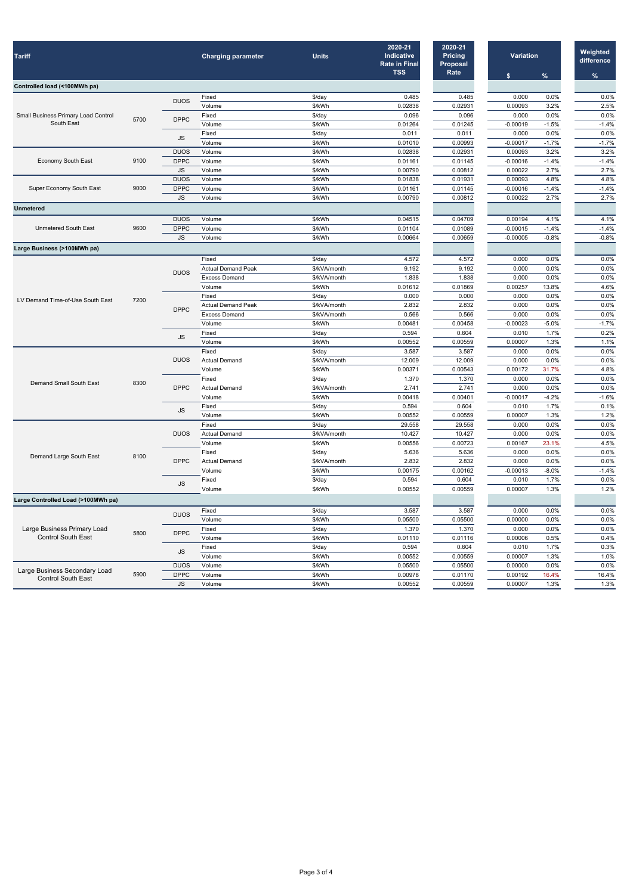| <b>Tariff</b>                              |      |                            | <b>Charging parameter</b>     | <b>Units</b>             | 2020-21<br>Indicative<br><b>Rate in Final</b><br><b>TSS</b> | 2020-21<br><b>Pricing</b><br><b>Proposal</b><br>Rate |                                                   |                                                                                                                                                                                                                                                                                                                                                                                                                                                                                                                                                                                                                                                                                                                                                                                                                                                                                                  | Weighted<br>difference<br>$\%$ |
|--------------------------------------------|------|----------------------------|-------------------------------|--------------------------|-------------------------------------------------------------|------------------------------------------------------|---------------------------------------------------|--------------------------------------------------------------------------------------------------------------------------------------------------------------------------------------------------------------------------------------------------------------------------------------------------------------------------------------------------------------------------------------------------------------------------------------------------------------------------------------------------------------------------------------------------------------------------------------------------------------------------------------------------------------------------------------------------------------------------------------------------------------------------------------------------------------------------------------------------------------------------------------------------|--------------------------------|
| Controlled load (<100MWh pa)               |      |                            |                               |                          |                                                             |                                                      |                                                   |                                                                                                                                                                                                                                                                                                                                                                                                                                                                                                                                                                                                                                                                                                                                                                                                                                                                                                  |                                |
|                                            |      |                            | Fixed                         | $$$ /day                 | 0.485                                                       | 0.485                                                |                                                   |                                                                                                                                                                                                                                                                                                                                                                                                                                                                                                                                                                                                                                                                                                                                                                                                                                                                                                  | 0.0%                           |
| <b>Small Business Primary Load Control</b> |      | <b>DUOS</b>                | Volume                        | \$/kWh                   | 0.02838                                                     | 0.02931                                              |                                                   |                                                                                                                                                                                                                                                                                                                                                                                                                                                                                                                                                                                                                                                                                                                                                                                                                                                                                                  | 2.5%                           |
|                                            |      |                            | Fixed                         | $$$ /day                 | 0.096                                                       | 0.096                                                |                                                   |                                                                                                                                                                                                                                                                                                                                                                                                                                                                                                                                                                                                                                                                                                                                                                                                                                                                                                  | 0.0%                           |
| South East                                 | 5700 | <b>DPPC</b>                | Volume                        | \$/kWh                   | 0.01264                                                     | 0.01245                                              | $-0.00019$                                        | $-1.5%$                                                                                                                                                                                                                                                                                                                                                                                                                                                                                                                                                                                                                                                                                                                                                                                                                                                                                          | $-1.4%$                        |
|                                            |      |                            | Fixed                         | \$/day                   | 0.011                                                       | 0.011                                                | 0.000                                             | <b>Variation</b><br>%<br>s.<br>0.000<br>0.0%<br>3.2%<br>0.00093<br>0.000<br>0.0%<br>0.0%<br>$-0.00017$<br>$-1.7%$<br>0.00093<br>3.2%<br>$-0.00016$<br>$-1.4%$<br>2.7%<br>0.00022<br>4.8%<br>0.00093<br>$-1.4%$<br>$-0.00016$<br>2.7%<br>0.00022<br>0.00194<br>4.1%<br>$-0.00015$<br>$-1.4%$<br>$-0.8%$<br>$-0.00005$<br>0.000<br>0.0%<br>0.000<br>0.0%<br>0.0%<br>0.000<br>0.00257<br>13.8%<br>0.000<br>0.0%<br>0.000<br>0.0%<br>0.0%<br>0.000<br>$-5.0%$<br>$-0.00023$<br>1.7%<br>0.010<br>0.00007<br>1.3%<br>0.0%<br>0.000<br>0.0%<br>0.000<br>31.7%<br>0.00172<br>0.000<br>$0.0\%$<br>0.000<br>0.0%<br>$-0.00017$<br>$-4.2%$<br>0.010<br>1.7%<br>1.3%<br>0.00007<br>0.0%<br>0.000<br>0.0%<br>0.000<br>0.00167<br>23.1%<br>0.000<br>0.0%<br>0.000<br>0.0%<br>$-0.00013$<br>$-8.0%$<br>1.7%<br>0.010<br>1.3%<br>0.00007<br>0.000<br>0.0%<br>0.00000<br>0.0%<br>0.000<br>0.0%<br>0.5%<br>0.00006 | 0.0%                           |
|                                            |      | <b>JS</b>                  | Volume                        | \$/kWh                   | 0.01010                                                     | 0.00993                                              |                                                   |                                                                                                                                                                                                                                                                                                                                                                                                                                                                                                                                                                                                                                                                                                                                                                                                                                                                                                  | $-1.7%$                        |
|                                            |      | <b>DUOS</b>                | Volume                        | \$/kWh                   | 0.02838                                                     | 0.02931                                              |                                                   | 1.7%<br>1.3%<br>0.0%<br>16.4%<br>1.3%                                                                                                                                                                                                                                                                                                                                                                                                                                                                                                                                                                                                                                                                                                                                                                                                                                                            | 3.2%                           |
| Economy South East                         | 9100 | <b>DPPC</b>                | Volume                        | \$/kWh                   | 0.01161                                                     | 0.01145                                              |                                                   |                                                                                                                                                                                                                                                                                                                                                                                                                                                                                                                                                                                                                                                                                                                                                                                                                                                                                                  | $-1.4%$                        |
|                                            |      | <b>JS</b>                  | Volume                        | \$/kWh                   | 0.00790                                                     | 0.00812                                              |                                                   |                                                                                                                                                                                                                                                                                                                                                                                                                                                                                                                                                                                                                                                                                                                                                                                                                                                                                                  | 2.7%                           |
|                                            |      | <b>DUOS</b>                | Volume                        | \$/kWh                   | 0.01838                                                     | 0.01931                                              |                                                   |                                                                                                                                                                                                                                                                                                                                                                                                                                                                                                                                                                                                                                                                                                                                                                                                                                                                                                  | 4.8%                           |
| Super Economy South East                   | 9000 | <b>DPPC</b>                | Volume                        | \$/kWh                   | 0.01161                                                     | 0.01145                                              |                                                   |                                                                                                                                                                                                                                                                                                                                                                                                                                                                                                                                                                                                                                                                                                                                                                                                                                                                                                  | $-1.4%$                        |
|                                            |      | <b>JS</b>                  | Volume                        | \$/kWh                   | 0.00790                                                     | 0.00812                                              |                                                   |                                                                                                                                                                                                                                                                                                                                                                                                                                                                                                                                                                                                                                                                                                                                                                                                                                                                                                  | 2.7%                           |
| <b>Unmetered</b>                           |      |                            |                               |                          |                                                             |                                                      |                                                   |                                                                                                                                                                                                                                                                                                                                                                                                                                                                                                                                                                                                                                                                                                                                                                                                                                                                                                  |                                |
|                                            |      | <b>DUOS</b>                | Volume                        | \$/kWh                   | 0.04515                                                     | 0.04709                                              |                                                   |                                                                                                                                                                                                                                                                                                                                                                                                                                                                                                                                                                                                                                                                                                                                                                                                                                                                                                  | 4.1%                           |
| <b>Unmetered South East</b>                | 9600 | <b>DPPC</b>                | Volume                        | \$/kWh                   | 0.01104                                                     | 0.01089                                              |                                                   |                                                                                                                                                                                                                                                                                                                                                                                                                                                                                                                                                                                                                                                                                                                                                                                                                                                                                                  | $-1.4%$                        |
|                                            |      | JS.                        | Volume                        | \$/kWh                   | 0.00664                                                     | 0.00659                                              |                                                   |                                                                                                                                                                                                                                                                                                                                                                                                                                                                                                                                                                                                                                                                                                                                                                                                                                                                                                  | $-0.8%$                        |
| Large Business (>100MWh pa)                |      |                            |                               |                          |                                                             |                                                      |                                                   |                                                                                                                                                                                                                                                                                                                                                                                                                                                                                                                                                                                                                                                                                                                                                                                                                                                                                                  |                                |
|                                            |      |                            | Fixed                         | $$$ /day                 | 4.572                                                       | 4.572                                                |                                                   |                                                                                                                                                                                                                                                                                                                                                                                                                                                                                                                                                                                                                                                                                                                                                                                                                                                                                                  | 0.0%                           |
|                                            |      | <b>DUOS</b>                | <b>Actual Demand Peak</b>     | \$/kVA/month             | 9.192                                                       | 9.192                                                |                                                   |                                                                                                                                                                                                                                                                                                                                                                                                                                                                                                                                                                                                                                                                                                                                                                                                                                                                                                  | 0.0%                           |
|                                            | 7200 |                            | <b>Excess Demand</b>          | \$/kVA/month             | 1.838                                                       | 1.838                                                |                                                   |                                                                                                                                                                                                                                                                                                                                                                                                                                                                                                                                                                                                                                                                                                                                                                                                                                                                                                  | 0.0%                           |
| LV Demand Time-of-Use South East           |      |                            | Volume                        | \$/kWh                   | 0.01612                                                     | 0.01869                                              |                                                   |                                                                                                                                                                                                                                                                                                                                                                                                                                                                                                                                                                                                                                                                                                                                                                                                                                                                                                  | 4.6%                           |
|                                            |      |                            | Fixed                         | $$$ /day                 | 0.000                                                       | 0.000                                                |                                                   |                                                                                                                                                                                                                                                                                                                                                                                                                                                                                                                                                                                                                                                                                                                                                                                                                                                                                                  | 0.0%                           |
|                                            |      | <b>DPPC</b>                | <b>Actual Demand Peak</b>     | \$/kVA/month             | 2.832                                                       | 2.832                                                |                                                   |                                                                                                                                                                                                                                                                                                                                                                                                                                                                                                                                                                                                                                                                                                                                                                                                                                                                                                  | 0.0%                           |
|                                            |      |                            | <b>Excess Demand</b>          | \$/kVA/month             | 0.566                                                       | 0.566                                                |                                                   |                                                                                                                                                                                                                                                                                                                                                                                                                                                                                                                                                                                                                                                                                                                                                                                                                                                                                                  | 0.0%                           |
|                                            |      |                            | Volume                        | \$/kWh                   | 0.00481                                                     | 0.00458                                              |                                                   |                                                                                                                                                                                                                                                                                                                                                                                                                                                                                                                                                                                                                                                                                                                                                                                                                                                                                                  | $-1.7%$                        |
|                                            |      | <b>JS</b>                  | Fixed                         | \$/day                   | 0.594                                                       | 0.604                                                |                                                   |                                                                                                                                                                                                                                                                                                                                                                                                                                                                                                                                                                                                                                                                                                                                                                                                                                                                                                  | 0.2%                           |
|                                            |      |                            | Volume                        | \$/kWh                   | 0.00552                                                     | 0.00559                                              |                                                   |                                                                                                                                                                                                                                                                                                                                                                                                                                                                                                                                                                                                                                                                                                                                                                                                                                                                                                  | 1.1%                           |
|                                            |      | <b>DUOS</b>                | Fixed<br><b>Actual Demand</b> | $$$ /day<br>\$/kVA/month | 3.587<br>12.009                                             | 3.587<br>12.009                                      |                                                   |                                                                                                                                                                                                                                                                                                                                                                                                                                                                                                                                                                                                                                                                                                                                                                                                                                                                                                  | 0.0%<br>0.0%                   |
|                                            |      |                            | Volume                        | \$/kWh                   | 0.00371                                                     | 0.00543                                              |                                                   |                                                                                                                                                                                                                                                                                                                                                                                                                                                                                                                                                                                                                                                                                                                                                                                                                                                                                                  | 4.8%                           |
|                                            |      |                            | Fixed                         | \$/day                   | 1.370                                                       | 1.370                                                |                                                   |                                                                                                                                                                                                                                                                                                                                                                                                                                                                                                                                                                                                                                                                                                                                                                                                                                                                                                  | 0.0%                           |
| <b>Demand Small South East</b>             | 8300 | <b>DPPC</b>                | <b>Actual Demand</b>          | \$/kVA/month             | 2.741                                                       | 2.741                                                |                                                   |                                                                                                                                                                                                                                                                                                                                                                                                                                                                                                                                                                                                                                                                                                                                                                                                                                                                                                  | 0.0%                           |
|                                            |      |                            | Volume                        | \$/kWh                   | 0.00418                                                     | 0.00401                                              | 0.010<br>0.00007<br>0.00000<br>0.00192<br>0.00007 | $-1.6%$                                                                                                                                                                                                                                                                                                                                                                                                                                                                                                                                                                                                                                                                                                                                                                                                                                                                                          |                                |
|                                            |      |                            | Fixed                         | $$$ /day                 | 0.594                                                       | 0.604                                                |                                                   |                                                                                                                                                                                                                                                                                                                                                                                                                                                                                                                                                                                                                                                                                                                                                                                                                                                                                                  | 0.1%                           |
|                                            |      | <b>JS</b>                  | Volume                        | \$/kWh                   | 0.00552                                                     | 0.00559                                              |                                                   |                                                                                                                                                                                                                                                                                                                                                                                                                                                                                                                                                                                                                                                                                                                                                                                                                                                                                                  | 1.2%                           |
|                                            |      |                            | Fixed                         | $$$ /day                 | 29.558                                                      | 29.558                                               |                                                   |                                                                                                                                                                                                                                                                                                                                                                                                                                                                                                                                                                                                                                                                                                                                                                                                                                                                                                  | 0.0%                           |
|                                            |      | <b>DUOS</b>                | <b>Actual Demand</b>          | \$/kVA/month             | 10.427                                                      | 10.427                                               |                                                   |                                                                                                                                                                                                                                                                                                                                                                                                                                                                                                                                                                                                                                                                                                                                                                                                                                                                                                  | 0.0%                           |
|                                            |      |                            | Volume                        | \$/kWh                   | 0.00556                                                     | 0.00723                                              |                                                   |                                                                                                                                                                                                                                                                                                                                                                                                                                                                                                                                                                                                                                                                                                                                                                                                                                                                                                  | 4.5%                           |
| Demand Large South East                    | 8100 | <b>DPPC</b><br><b>JS</b>   | Fixed                         | $$$ /day                 | 5.636                                                       | 5.636                                                |                                                   |                                                                                                                                                                                                                                                                                                                                                                                                                                                                                                                                                                                                                                                                                                                                                                                                                                                                                                  | 0.0%                           |
|                                            |      |                            | <b>Actual Demand</b>          | \$/kVA/month             | 2.832                                                       | 2.832                                                |                                                   |                                                                                                                                                                                                                                                                                                                                                                                                                                                                                                                                                                                                                                                                                                                                                                                                                                                                                                  | 0.0%                           |
|                                            |      |                            | Volume                        | \$/kWh                   | 0.00175                                                     | 0.00162                                              |                                                   |                                                                                                                                                                                                                                                                                                                                                                                                                                                                                                                                                                                                                                                                                                                                                                                                                                                                                                  | $-1.4%$                        |
|                                            |      |                            | Fixed                         | \$/day                   | 0.594                                                       | 0.604                                                |                                                   |                                                                                                                                                                                                                                                                                                                                                                                                                                                                                                                                                                                                                                                                                                                                                                                                                                                                                                  | 0.0%                           |
|                                            |      |                            | Volume                        | \$/kWh                   | 0.00552                                                     | 0.00559                                              |                                                   |                                                                                                                                                                                                                                                                                                                                                                                                                                                                                                                                                                                                                                                                                                                                                                                                                                                                                                  | 1.2%                           |
| Large Controlled Load (>100MWh pa)         |      |                            |                               |                          |                                                             |                                                      |                                                   |                                                                                                                                                                                                                                                                                                                                                                                                                                                                                                                                                                                                                                                                                                                                                                                                                                                                                                  |                                |
|                                            |      | <b>DUOS</b><br><b>DPPC</b> | Fixed                         | \$/day                   | 3.587                                                       | 3.587                                                |                                                   |                                                                                                                                                                                                                                                                                                                                                                                                                                                                                                                                                                                                                                                                                                                                                                                                                                                                                                  | 0.0%                           |
|                                            |      |                            | Volume                        | \$/kWh                   | 0.05500                                                     | 0.05500                                              |                                                   |                                                                                                                                                                                                                                                                                                                                                                                                                                                                                                                                                                                                                                                                                                                                                                                                                                                                                                  | 0.0%                           |
| Large Business Primary Load                | 5800 |                            | Fixed                         | \$/day                   | 1.370                                                       | 1.370                                                |                                                   |                                                                                                                                                                                                                                                                                                                                                                                                                                                                                                                                                                                                                                                                                                                                                                                                                                                                                                  | 0.0%                           |
| <b>Control South East</b>                  |      |                            | Volume                        | \$/kWh                   | 0.01110                                                     | 0.01116                                              |                                                   |                                                                                                                                                                                                                                                                                                                                                                                                                                                                                                                                                                                                                                                                                                                                                                                                                                                                                                  | 0.4%                           |
|                                            |      | <b>JS</b>                  | Fixed                         | \$/day                   | 0.594                                                       | 0.604                                                |                                                   |                                                                                                                                                                                                                                                                                                                                                                                                                                                                                                                                                                                                                                                                                                                                                                                                                                                                                                  | 0.3%                           |
|                                            |      |                            | Volume                        | \$/kWh                   | 0.00552                                                     | 0.00559                                              |                                                   |                                                                                                                                                                                                                                                                                                                                                                                                                                                                                                                                                                                                                                                                                                                                                                                                                                                                                                  | 1.0%                           |
| Large Business Secondary Load              |      | <b>DUOS</b>                | Volume                        | \$/kWh                   | 0.05500                                                     | 0.05500                                              |                                                   |                                                                                                                                                                                                                                                                                                                                                                                                                                                                                                                                                                                                                                                                                                                                                                                                                                                                                                  | 0.0%                           |
| Control South East                         | 5900 | <b>DPPC</b>                | Volume                        | \$/kWh                   | 0.00978                                                     | 0.01170                                              |                                                   |                                                                                                                                                                                                                                                                                                                                                                                                                                                                                                                                                                                                                                                                                                                                                                                                                                                                                                  | 16.4%                          |
|                                            |      | <b>JS</b>                  | Volume                        | \$/kWh                   | 0.00552                                                     | 0.00559                                              |                                                   |                                                                                                                                                                                                                                                                                                                                                                                                                                                                                                                                                                                                                                                                                                                                                                                                                                                                                                  | 1.3%                           |